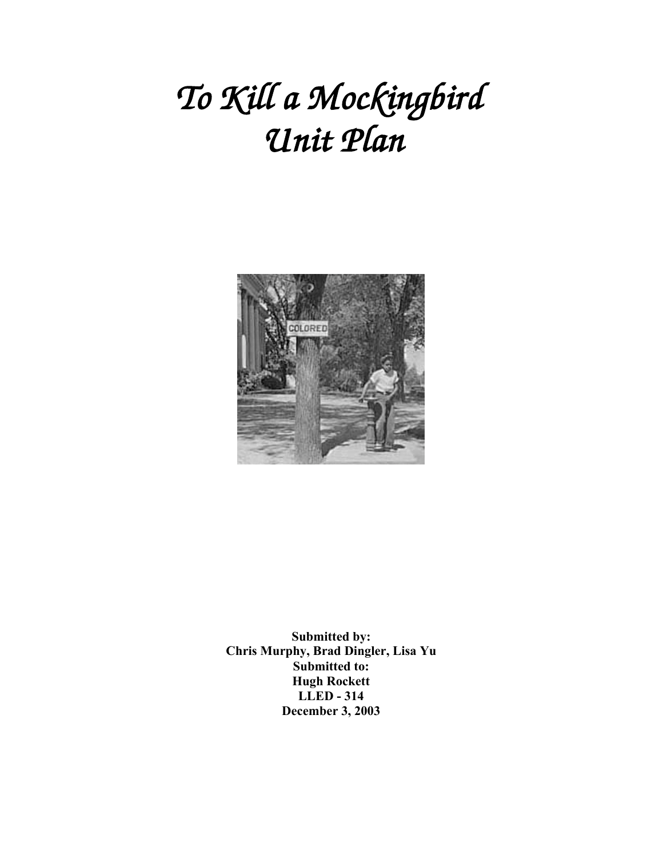# *To Kill a Mockingbird Unit Plan*



**Submitted by: Chris Murphy, Brad Dingler, Lisa Yu Submitted to: Hugh Rockett LLED - 314 December 3, 2003**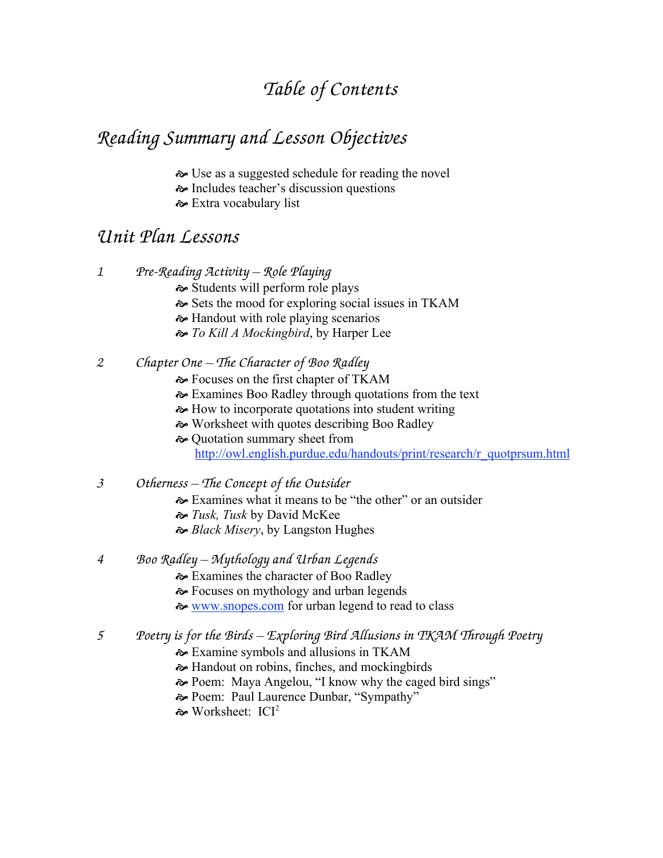# *Table of Contents*

# *Reading Summary and Lesson Objectives*

Use as a suggested schedule for reading the novel

- Includes teacher's discussion questions
- Extra vocabulary list

## *Unit Plan Lessons*

- *1 Pre-Reading Activity Role Playing*
	- Students will perform role plays
	- $\approx$  Sets the mood for exploring social issues in TKAM
	- $\leftrightarrow$  Handout with role playing scenarios
	- *To Kill A Mockingbird*, by Harper Lee
- *2 Chapter One The Character of Boo Radley*
	- Focuses on the first chapter of TKAM
	- Examines Boo Radley through quotations from the text
	- $\leftrightarrow$  How to incorporate quotations into student writing
	- Worksheet with quotes describing Boo Radley
	- Quotation summary sheet from http://owl.english.purdue.edu/handouts/print/research/r\_quotprsum.html
- *3 Otherness The Concept of the Outsider*
	- Examines what it means to be "the other" or an outsider
	- *Tusk, Tusk* by David McKee
	- *Black Misery*, by Langston Hughes
- *4 Boo Radley Mythology and Urban Legends*
	- Examines the character of Boo Radley
	- Focuses on mythology and urban legends
	- www.snopes.com for urban legend to read to class
- *5 Poetry is for the Birds Exploring Bird Allusions in TKAM Through Poetry*
	- Examine symbols and allusions in TKAM
	- $\leftrightarrow$  Handout on robins, finches, and mocking birds
	- Poem: Maya Angelou, "I know why the caged bird sings"
	- Poem: Paul Laurence Dunbar, "Sympathy"
	- $\approx$  Worksheet: ICI<sup>2</sup>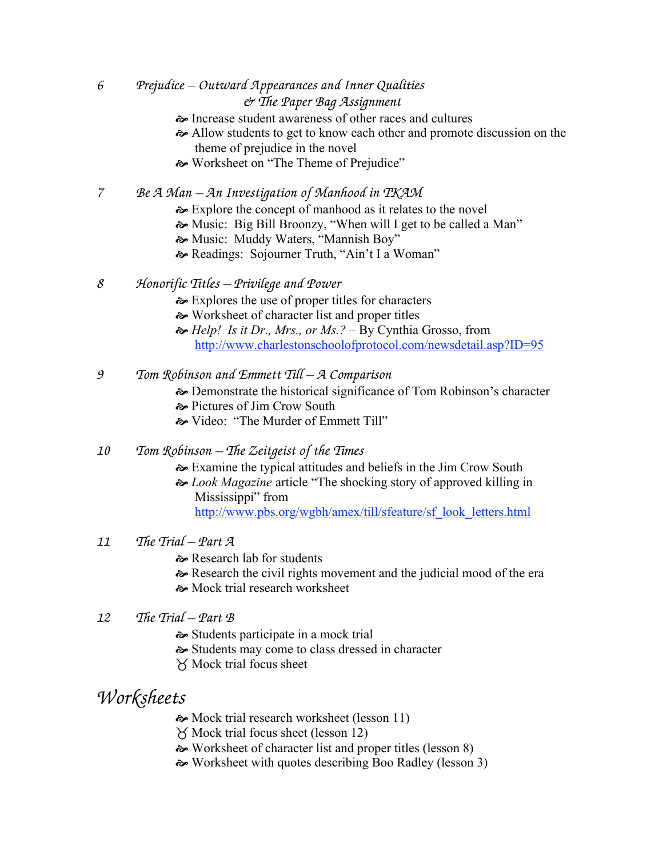*6 Prejudice – Outward Appearances and Inner Qualities*

#### *& The Paper Bag Assignment*

- Increase student awareness of other races and cultures
- Allow students to get to know each other and promote discussion on the theme of prejudice in the novel
- Worksheet on "The Theme of Prejudice"
- *7 Be A Man An Investigation of Manhood in TKAM*
	- Explore the concept of manhood as it relates to the novel
	- Music: Big Bill Broonzy, "When will I get to be called a Man"
	- Music: Muddy Waters, "Mannish Boy"
	- Readings: Sojourner Truth, "Ain't I a Woman"
- *8 Honorific Titles Privilege and Power*
	- Explores the use of proper titles for characters
	- Worksheet of character list and proper titles
	- *Help! Is it Dr., Mrs., or Ms.?* By Cynthia Grosso, from http://www.charlestonschoolofprotocol.com/newsdetail.asp?ID=95
- *9 Tom Robinson and Emmett Till A Comparison*
	- Demonstrate the historical significance of Tom Robinson's character
	- Pictures of Jim Crow South
	- Video: "The Murder of Emmett Till"
- *10 Tom Robinson The Zeitgeist of the Times*
	- Examine the typical attitudes and beliefs in the Jim Crow South
	- *Look Magazine* article "The shocking story of approved killing in Mississippi" from
		- http://www.pbs.org/wgbh/amex/till/sfeature/sf\_look\_letters.html
- *11 The Trial Part A*
	- Research lab for students
	- Research the civil rights movement and the judicial mood of the era
	- Mock trial research worksheet
- *12 The Trial Part B*
	- Students participate in a mock trial
	- Students may come to class dressed in character
	- Mock trial focus sheet

# *Worksheets*

- Mock trial research worksheet (lesson 11)
- Mock trial focus sheet (lesson 12)
- Worksheet of character list and proper titles (lesson 8)
- Worksheet with quotes describing Boo Radley (lesson 3)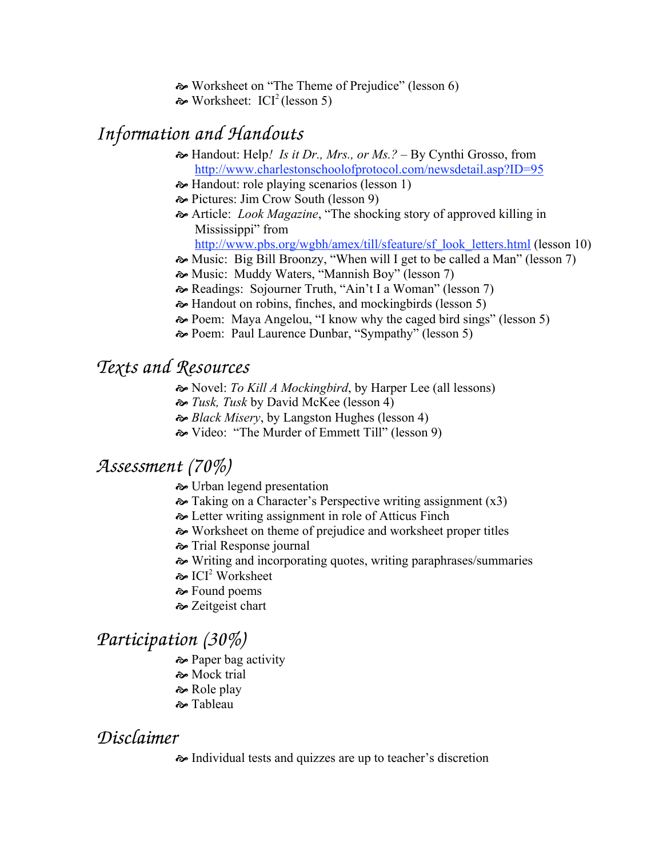- Worksheet on "The Theme of Prejudice" (lesson 6)
- $\approx$  Worksheet: ICI<sup>2</sup> (lesson 5)

# *Information and Handouts*

- Handout: Help*! Is it Dr., Mrs., or Ms.?* By Cynthi Grosso, from http://www.charlestonschoolofprotocol.com/newsdetail.asp?ID=95
- $\leftrightarrow$  Handout: role playing scenarios (lesson 1)
- Pictures: Jim Crow South (lesson 9)
- Article: *Look Magazine*, "The shocking story of approved killing in Mississippi" from http://www.pbs.org/wgbh/amex/till/sfeature/sf\_look\_letters.html (lesson 10)
- Music: Big Bill Broonzy, "When will I get to be called a Man" (lesson 7)
- Music: Muddy Waters, "Mannish Boy" (lesson 7)
- Readings: Sojourner Truth, "Ain't I a Woman" (lesson 7)
- $\Leftrightarrow$  Handout on robins, finches, and mockingbirds (lesson 5)
- Poem: Maya Angelou, "I know why the caged bird sings" (lesson 5)
- Poem: Paul Laurence Dunbar, "Sympathy" (lesson 5)

### *Texts and Resources*

- Novel: *To Kill A Mockingbird*, by Harper Lee (all lessons)
- *Tusk, Tusk* by David McKee (lesson 4)
- *Black Misery*, by Langston Hughes (lesson 4)
- Video: "The Murder of Emmett Till" (lesson 9)

### *Assessment (70%)*

- Urban legend presentation
- $\approx$  Taking on a Character's Perspective writing assignment (x3)
- Letter writing assignment in role of Atticus Finch
- Worksheet on theme of prejudice and worksheet proper titles
- $\sim$  Trial Response journal
- Writing and incorporating quotes, writing paraphrases/summaries
- $\sim$  ICI<sup>2</sup> Worksheet
- $\approx$  Found poems
- $\approx$  Zeitgeist chart

### *Participation (30%)*

- $\approx$  Paper bag activity
- $\sim$  Mock trial
- **a** Role play
- $\approx$  Tableau

### *Disclaimer*

Individual tests and quizzes are up to teacher's discretion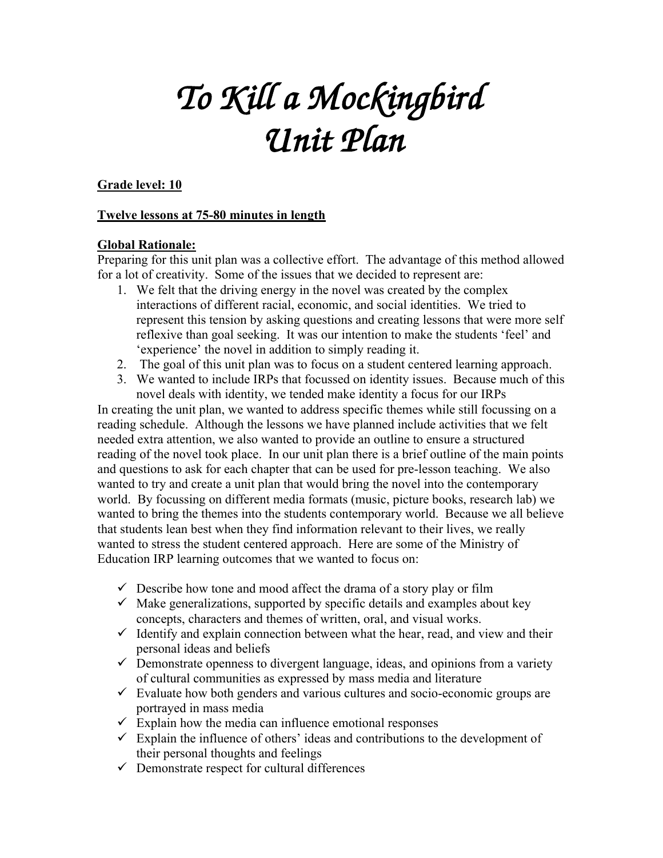# *To Kill a Mockingbird Unit Plan*

#### **Grade level: 10**

#### **Twelve lessons at 75-80 minutes in length**

#### **Global Rationale:**

Preparing for this unit plan was a collective effort. The advantage of this method allowed for a lot of creativity. Some of the issues that we decided to represent are:

- 1. We felt that the driving energy in the novel was created by the complex interactions of different racial, economic, and social identities. We tried to represent this tension by asking questions and creating lessons that were more self reflexive than goal seeking. It was our intention to make the students 'feel' and 'experience' the novel in addition to simply reading it.
- 2. The goal of this unit plan was to focus on a student centered learning approach.
- 3. We wanted to include IRPs that focussed on identity issues. Because much of this novel deals with identity, we tended make identity a focus for our IRPs

In creating the unit plan, we wanted to address specific themes while still focussing on a reading schedule. Although the lessons we have planned include activities that we felt needed extra attention, we also wanted to provide an outline to ensure a structured reading of the novel took place. In our unit plan there is a brief outline of the main points and questions to ask for each chapter that can be used for pre-lesson teaching. We also wanted to try and create a unit plan that would bring the novel into the contemporary world. By focussing on different media formats (music, picture books, research lab) we wanted to bring the themes into the students contemporary world. Because we all believe that students lean best when they find information relevant to their lives, we really wanted to stress the student centered approach. Here are some of the Ministry of Education IRP learning outcomes that we wanted to focus on:

- $\checkmark$  Describe how tone and mood affect the drama of a story play or film
- $\checkmark$  Make generalizations, supported by specific details and examples about key concepts, characters and themes of written, oral, and visual works.
- $\checkmark$  Identify and explain connection between what the hear, read, and view and their personal ideas and beliefs
- $\checkmark$  Demonstrate openness to divergent language, ideas, and opinions from a variety of cultural communities as expressed by mass media and literature
- $\checkmark$  Evaluate how both genders and various cultures and socio-economic groups are portrayed in mass media
- $\checkmark$  Explain how the media can influence emotional responses
- $\checkmark$  Explain the influence of others' ideas and contributions to the development of their personal thoughts and feelings
- $\checkmark$  Demonstrate respect for cultural differences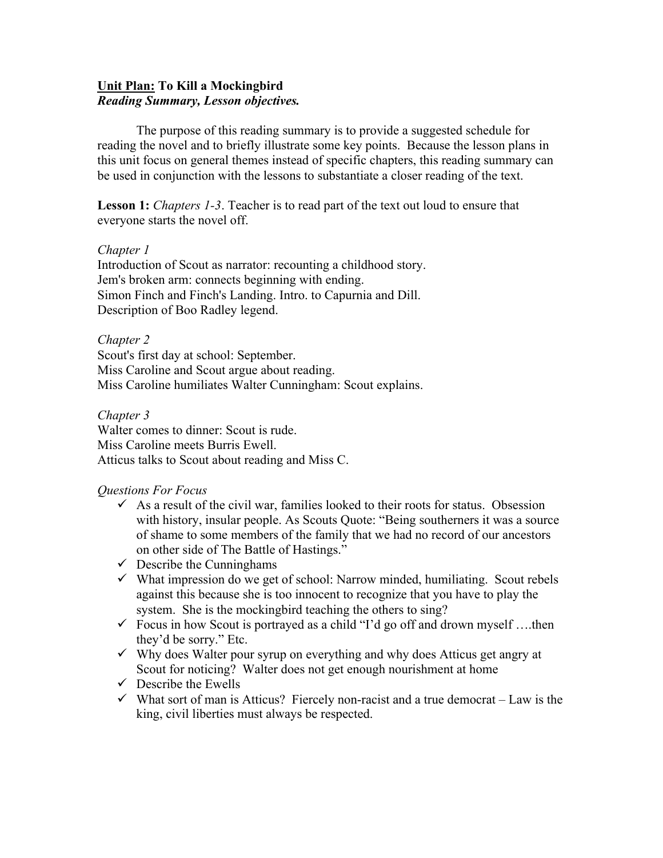#### **Unit Plan: To Kill a Mockingbird** *Reading Summary, Lesson objectives.*

The purpose of this reading summary is to provide a suggested schedule for reading the novel and to briefly illustrate some key points. Because the lesson plans in this unit focus on general themes instead of specific chapters, this reading summary can be used in conjunction with the lessons to substantiate a closer reading of the text.

**Lesson 1:** *Chapters 1-3*. Teacher is to read part of the text out loud to ensure that everyone starts the novel off.

#### *Chapter 1*

Introduction of Scout as narrator: recounting a childhood story. Jem's broken arm: connects beginning with ending. Simon Finch and Finch's Landing. Intro. to Capurnia and Dill. Description of Boo Radley legend.

#### *Chapter 2*

Scout's first day at school: September. Miss Caroline and Scout argue about reading. Miss Caroline humiliates Walter Cunningham: Scout explains.

#### *Chapter 3*

Walter comes to dinner: Scout is rude. Miss Caroline meets Burris Ewell. Atticus talks to Scout about reading and Miss C.

- $\checkmark$  As a result of the civil war, families looked to their roots for status. Obsession with history, insular people. As Scouts Quote: "Being southerners it was a source of shame to some members of the family that we had no record of our ancestors on other side of The Battle of Hastings."
- $\checkmark$  Describe the Cunninghams
- $\checkmark$  What impression do we get of school: Narrow minded, humiliating. Scout rebels against this because she is too innocent to recognize that you have to play the system. She is the mockingbird teaching the others to sing?
- $\checkmark$  Focus in how Scout is portrayed as a child "I'd go off and drown myself ....then they'd be sorry." Etc.
- $\checkmark$  Why does Walter pour syrup on everything and why does Atticus get angry at Scout for noticing? Walter does not get enough nourishment at home
- $\checkmark$  Describe the Ewells
- $\checkmark$  What sort of man is Atticus? Fiercely non-racist and a true democrat Law is the king, civil liberties must always be respected.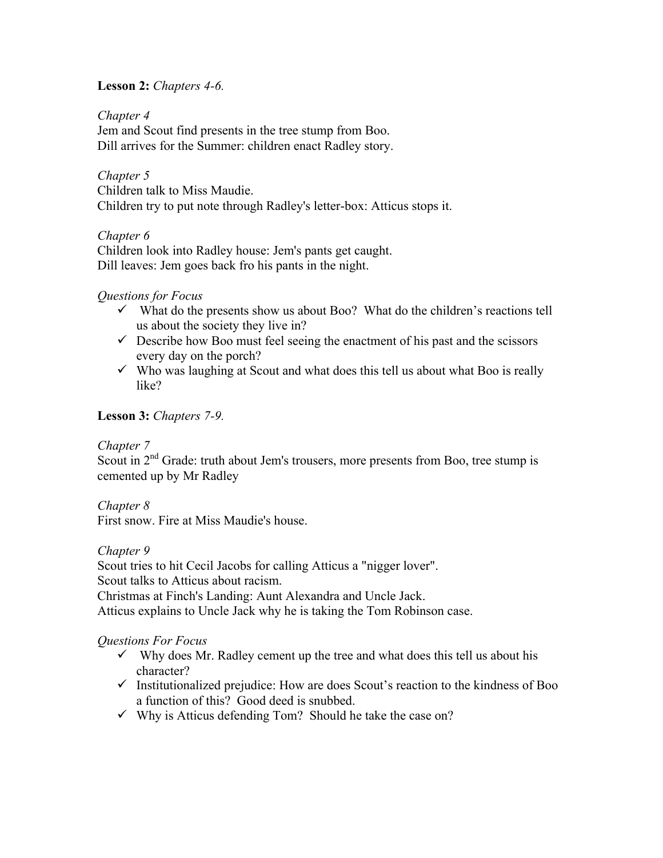#### **Lesson 2:** *Chapters 4-6.*

*Chapter 4* Jem and Scout find presents in the tree stump from Boo. Dill arrives for the Summer: children enact Radley story.

#### *Chapter 5*

Children talk to Miss Maudie. Children try to put note through Radley's letter-box: Atticus stops it.

#### *Chapter 6*

Children look into Radley house: Jem's pants get caught. Dill leaves: Jem goes back fro his pants in the night.

#### *Questions for Focus*

- $\checkmark$  What do the presents show us about Boo? What do the children's reactions tell us about the society they live in?
- $\checkmark$  Describe how Boo must feel seeing the enactment of his past and the scissors every day on the porch?
- $\checkmark$  Who was laughing at Scout and what does this tell us about what Boo is really like?

#### **Lesson 3:** *Chapters 7-9.*

#### *Chapter 7*

Scout in 2<sup>nd</sup> Grade: truth about Jem's trousers, more presents from Boo, tree stump is cemented up by Mr Radley

#### *Chapter 8*

First snow. Fire at Miss Maudie's house.

#### *Chapter 9*

Scout tries to hit Cecil Jacobs for calling Atticus a "nigger lover". Scout talks to Atticus about racism. Christmas at Finch's Landing: Aunt Alexandra and Uncle Jack. Atticus explains to Uncle Jack why he is taking the Tom Robinson case.

- $\checkmark$  Why does Mr. Radley cement up the tree and what does this tell us about his character?
- $\checkmark$  Institutionalized prejudice: How are does Scout's reaction to the kindness of Boo a function of this? Good deed is snubbed.
- $\checkmark$  Why is Atticus defending Tom? Should he take the case on?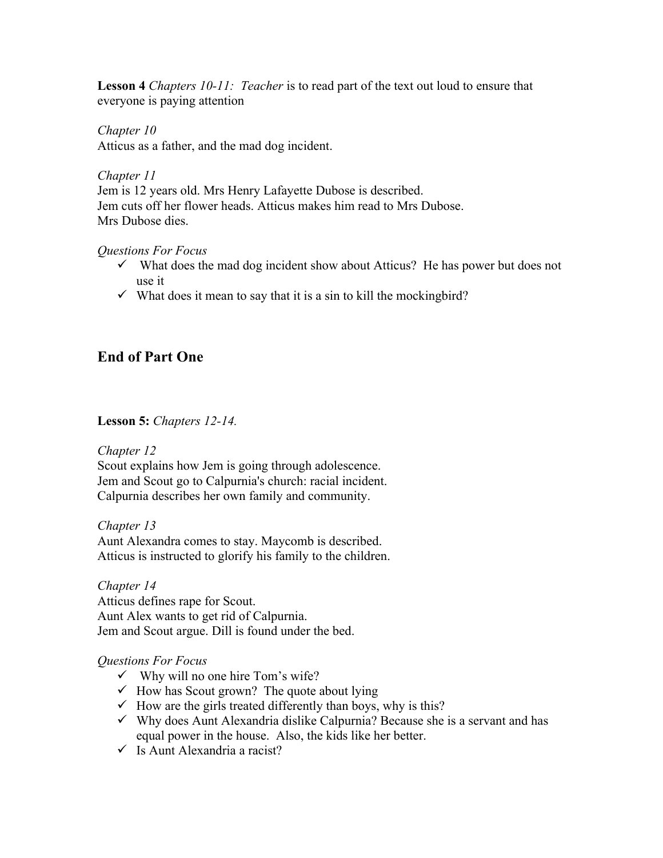**Lesson 4** *Chapters 10-11: Teacher* is to read part of the text out loud to ensure that everyone is paying attention

*Chapter 10*

Atticus as a father, and the mad dog incident.

#### *Chapter 11*

Jem is 12 years old. Mrs Henry Lafayette Dubose is described. Jem cuts off her flower heads. Atticus makes him read to Mrs Dubose. Mrs Dubose dies.

#### *Questions For Focus*

- $\checkmark$  What does the mad dog incident show about Atticus? He has power but does not use it
- $\checkmark$  What does it mean to say that it is a sin to kill the mocking bird?

### **End of Part One**

#### **Lesson 5:** *Chapters 12-14.*

*Chapter 12*

Scout explains how Jem is going through adolescence. Jem and Scout go to Calpurnia's church: racial incident. Calpurnia describes her own family and community.

*Chapter 13* Aunt Alexandra comes to stay. Maycomb is described. Atticus is instructed to glorify his family to the children.

*Chapter 14* Atticus defines rape for Scout. Aunt Alex wants to get rid of Calpurnia. Jem and Scout argue. Dill is found under the bed.

- $\checkmark$  Why will no one hire Tom's wife?
- $\checkmark$  How has Scout grown? The quote about lying
- $\checkmark$  How are the girls treated differently than boys, why is this?
- $\checkmark$  Why does Aunt Alexandria dislike Calpurnia? Because she is a servant and has equal power in the house. Also, the kids like her better.
- $\checkmark$  Is Aunt Alexandria a racist?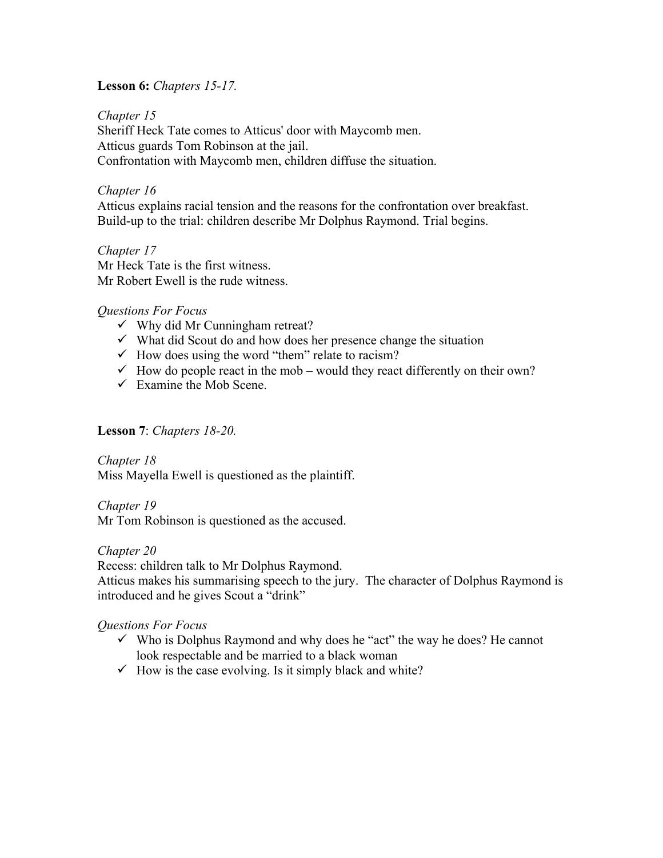#### **Lesson 6:** *Chapters 15-17.*

*Chapter 15* Sheriff Heck Tate comes to Atticus' door with Maycomb men. Atticus guards Tom Robinson at the jail. Confrontation with Maycomb men, children diffuse the situation.

#### *Chapter 16*

Atticus explains racial tension and the reasons for the confrontation over breakfast. Build-up to the trial: children describe Mr Dolphus Raymond. Trial begins.

*Chapter 17* Mr Heck Tate is the first witness. Mr Robert Ewell is the rude witness.

#### *Questions For Focus*

- $\checkmark$  Why did Mr Cunningham retreat?
- $\checkmark$  What did Scout do and how does her presence change the situation
- $\checkmark$  How does using the word "them" relate to racism?
- $\checkmark$  How do people react in the mob would they react differently on their own?
- $\checkmark$  Examine the Mob Scene.

#### **Lesson 7**: *Chapters 18-20.*

*Chapter 18* Miss Mayella Ewell is questioned as the plaintiff.

*Chapter 19*

Mr Tom Robinson is questioned as the accused.

*Chapter 20*

Recess: children talk to Mr Dolphus Raymond.

Atticus makes his summarising speech to the jury. The character of Dolphus Raymond is introduced and he gives Scout a "drink"

- $\checkmark$  Who is Dolphus Raymond and why does he "act" the way he does? He cannot look respectable and be married to a black woman
- $\checkmark$  How is the case evolving. Is it simply black and white?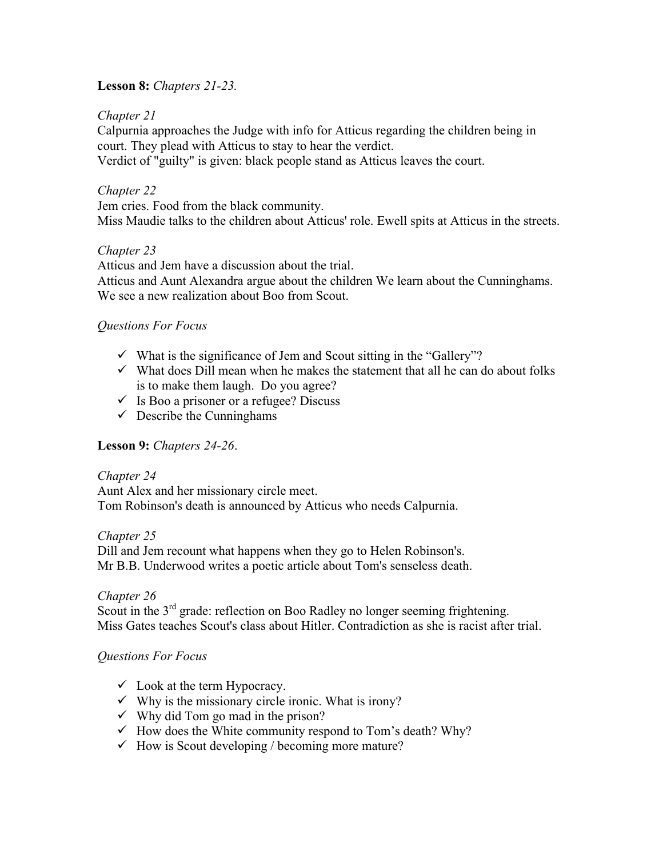#### **Lesson 8:** *Chapters 21-23.*

#### *Chapter 21*

Calpurnia approaches the Judge with info for Atticus regarding the children being in court. They plead with Atticus to stay to hear the verdict.

Verdict of "guilty" is given: black people stand as Atticus leaves the court.

#### *Chapter 22*

Jem cries. Food from the black community. Miss Maudie talks to the children about Atticus' role. Ewell spits at Atticus in the streets.

#### *Chapter 23*

Atticus and Jem have a discussion about the trial. Atticus and Aunt Alexandra argue about the children We learn about the Cunninghams. We see a new realization about Boo from Scout.

#### *Questions For Focus*

- $\checkmark$  What is the significance of Jem and Scout sitting in the "Gallery"?
- $\checkmark$  What does Dill mean when he makes the statement that all he can do about folks is to make them laugh. Do you agree?
- $\checkmark$  Is Boo a prisoner or a refugee? Discuss
- $\checkmark$  Describe the Cunninghams

#### **Lesson 9:** *Chapters 24-26*.

#### *Chapter 24*

Aunt Alex and her missionary circle meet. Tom Robinson's death is announced by Atticus who needs Calpurnia.

#### *Chapter 25*

Dill and Jem recount what happens when they go to Helen Robinson's. Mr B.B. Underwood writes a poetic article about Tom's senseless death.

#### *Chapter 26*

Scout in the  $3<sup>rd</sup>$  grade: reflection on Boo Radley no longer seeming frightening. Miss Gates teaches Scout's class about Hitler. Contradiction as she is racist after trial.

- $\checkmark$  Look at the term Hypocracy.
- $\checkmark$  Why is the missionary circle ironic. What is irony?
- $\checkmark$  Why did Tom go mad in the prison?
- $\checkmark$  How does the White community respond to Tom's death? Why?
- $\checkmark$  How is Scout developing / becoming more mature?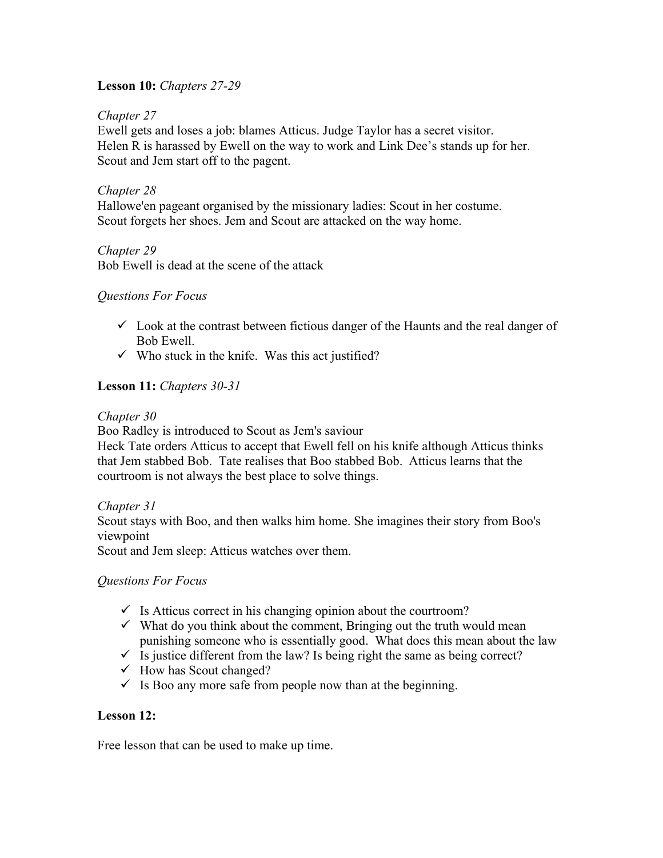#### **Lesson 10:** *Chapters 27-29*

#### *Chapter 27*

Ewell gets and loses a job: blames Atticus. Judge Taylor has a secret visitor. Helen R is harassed by Ewell on the way to work and Link Dee's stands up for her. Scout and Jem start off to the pagent.

#### *Chapter 28*

Hallowe'en pageant organised by the missionary ladies: Scout in her costume. Scout forgets her shoes. Jem and Scout are attacked on the way home.

#### *Chapter 29*

Bob Ewell is dead at the scene of the attack

#### *Questions For Focus*

- $\checkmark$  Look at the contrast between fictious danger of the Haunts and the real danger of Bob Ewell.
- $\checkmark$  Who stuck in the knife. Was this act justified?

#### **Lesson 11:** *Chapters 30-31*

#### *Chapter 30*

Boo Radley is introduced to Scout as Jem's saviour

Heck Tate orders Atticus to accept that Ewell fell on his knife although Atticus thinks that Jem stabbed Bob. Tate realises that Boo stabbed Bob. Atticus learns that the courtroom is not always the best place to solve things.

#### *Chapter 31*

Scout stays with Boo, and then walks him home. She imagines their story from Boo's viewpoint

Scout and Jem sleep: Atticus watches over them.

#### *Questions For Focus*

- $\checkmark$  Is Atticus correct in his changing opinion about the courtroom?
- $\checkmark$  What do you think about the comment, Bringing out the truth would mean punishing someone who is essentially good. What does this mean about the law
- $\checkmark$  Is justice different from the law? Is being right the same as being correct?
- $\checkmark$  How has Scout changed?
- $\checkmark$  Is Boo any more safe from people now than at the beginning.

#### **Lesson 12:**

Free lesson that can be used to make up time.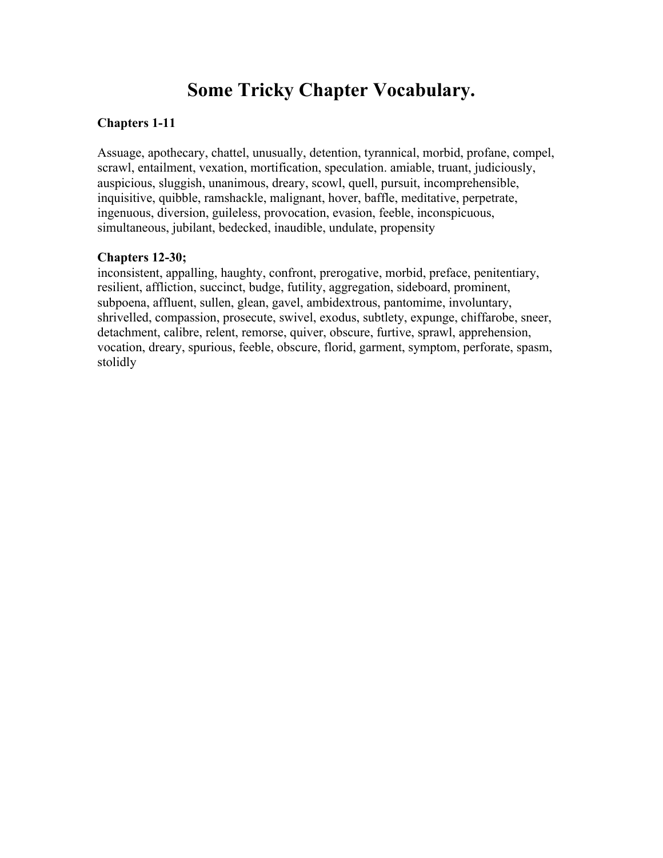# **Some Tricky Chapter Vocabulary.**

#### **Chapters 1-11**

Assuage, apothecary, chattel, unusually, detention, tyrannical, morbid, profane, compel, scrawl, entailment, vexation, mortification, speculation. amiable, truant, judiciously, auspicious, sluggish, unanimous, dreary, scowl, quell, pursuit, incomprehensible, inquisitive, quibble, ramshackle, malignant, hover, baffle, meditative, perpetrate, ingenuous, diversion, guileless, provocation, evasion, feeble, inconspicuous, simultaneous, jubilant, bedecked, inaudible, undulate, propensity

#### **Chapters 12-30;**

inconsistent, appalling, haughty, confront, prerogative, morbid, preface, penitentiary, resilient, affliction, succinct, budge, futility, aggregation, sideboard, prominent, subpoena, affluent, sullen, glean, gavel, ambidextrous, pantomime, involuntary, shrivelled, compassion, prosecute, swivel, exodus, subtlety, expunge, chiffarobe, sneer, detachment, calibre, relent, remorse, quiver, obscure, furtive, sprawl, apprehension, vocation, dreary, spurious, feeble, obscure, florid, garment, symptom, perforate, spasm, stolidly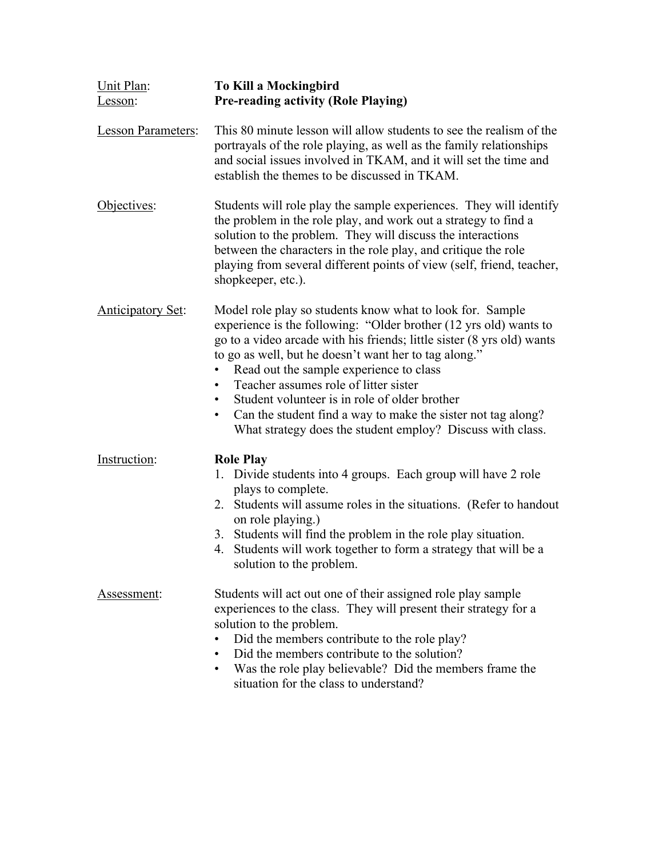| Unit Plan:<br>Lesson:     | <b>To Kill a Mockingbird</b><br><b>Pre-reading activity (Role Playing)</b>                                                                                                                                                                                                                                                                                                                                                                                                                                                                                                  |
|---------------------------|-----------------------------------------------------------------------------------------------------------------------------------------------------------------------------------------------------------------------------------------------------------------------------------------------------------------------------------------------------------------------------------------------------------------------------------------------------------------------------------------------------------------------------------------------------------------------------|
| <b>Lesson Parameters:</b> | This 80 minute lesson will allow students to see the realism of the<br>portrayals of the role playing, as well as the family relationships<br>and social issues involved in TKAM, and it will set the time and<br>establish the themes to be discussed in TKAM.                                                                                                                                                                                                                                                                                                             |
| Objectives:               | Students will role play the sample experiences. They will identify<br>the problem in the role play, and work out a strategy to find a<br>solution to the problem. They will discuss the interactions<br>between the characters in the role play, and critique the role<br>playing from several different points of view (self, friend, teacher,<br>shopkeeper, etc.).                                                                                                                                                                                                       |
| <b>Anticipatory Set:</b>  | Model role play so students know what to look for. Sample<br>experience is the following: "Older brother (12 yrs old) wants to<br>go to a video arcade with his friends; little sister (8 yrs old) wants<br>to go as well, but he doesn't want her to tag along."<br>Read out the sample experience to class<br>Teacher assumes role of litter sister<br>$\bullet$<br>Student volunteer is in role of older brother<br>$\bullet$<br>Can the student find a way to make the sister not tag along?<br>$\bullet$<br>What strategy does the student employ? Discuss with class. |
| Instruction:              | <b>Role Play</b><br>1. Divide students into 4 groups. Each group will have 2 role<br>plays to complete.<br>2. Students will assume roles in the situations. (Refer to handout<br>on role playing.)<br>3. Students will find the problem in the role play situation.<br>4. Students will work together to form a strategy that will be a<br>solution to the problem.                                                                                                                                                                                                         |
| Assessment:               | Students will act out one of their assigned role play sample<br>experiences to the class. They will present their strategy for a<br>solution to the problem.<br>Did the members contribute to the role play?<br>Did the members contribute to the solution?<br>$\bullet$<br>Was the role play believable? Did the members frame the<br>$\bullet$<br>situation for the class to understand?                                                                                                                                                                                  |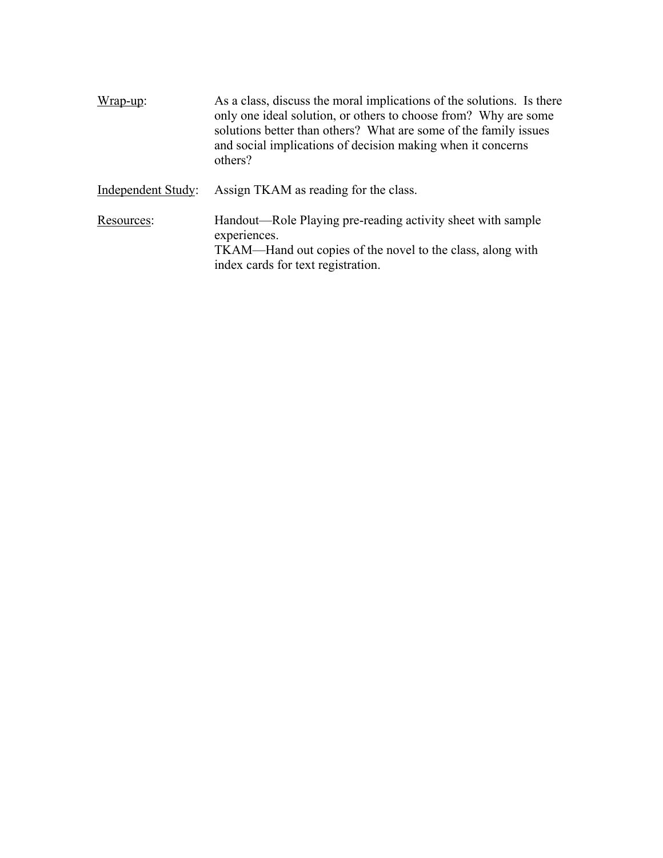| $Wrap-up$ :        | As a class, discuss the moral implications of the solutions. Is there<br>only one ideal solution, or others to choose from? Why are some<br>solutions better than others? What are some of the family issues<br>and social implications of decision making when it concerns<br>others? |
|--------------------|----------------------------------------------------------------------------------------------------------------------------------------------------------------------------------------------------------------------------------------------------------------------------------------|
| Independent Study: | Assign TKAM as reading for the class.                                                                                                                                                                                                                                                  |
| Resources:         | Handout—Role Playing pre-reading activity sheet with sample<br>experiences.<br>TKAM—Hand out copies of the novel to the class, along with<br>index cards for text registration.                                                                                                        |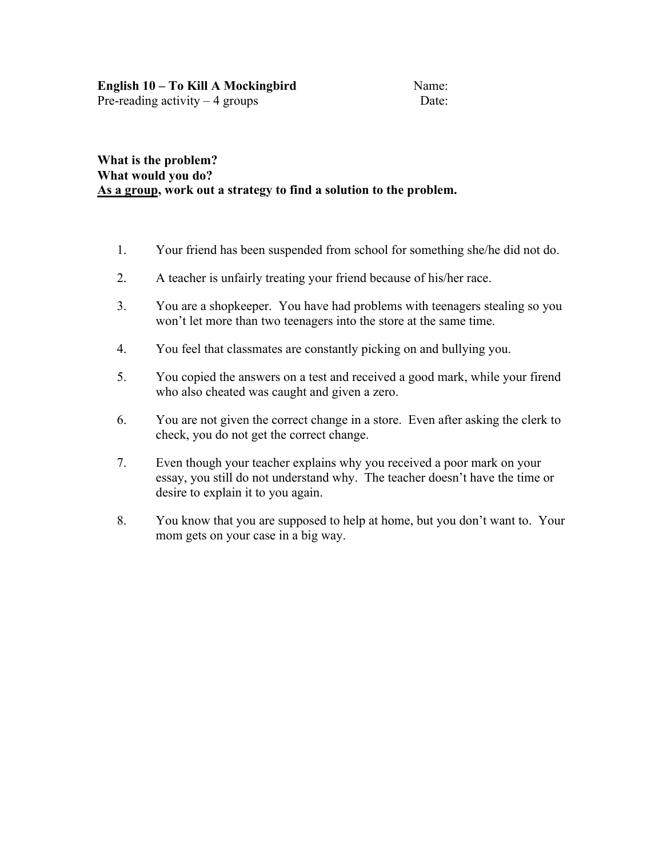#### **What is the problem? What would you do? As a group, work out a strategy to find a solution to the problem.**

- 1. Your friend has been suspended from school for something she/he did not do.
- 2. A teacher is unfairly treating your friend because of his/her race.
- 3. You are a shopkeeper. You have had problems with teenagers stealing so you won't let more than two teenagers into the store at the same time.
- 4. You feel that classmates are constantly picking on and bullying you.
- 5. You copied the answers on a test and received a good mark, while your firend who also cheated was caught and given a zero.
- 6. You are not given the correct change in a store. Even after asking the clerk to check, you do not get the correct change.
- 7. Even though your teacher explains why you received a poor mark on your essay, you still do not understand why. The teacher doesn't have the time or desire to explain it to you again.
- 8. You know that you are supposed to help at home, but you don't want to. Your mom gets on your case in a big way.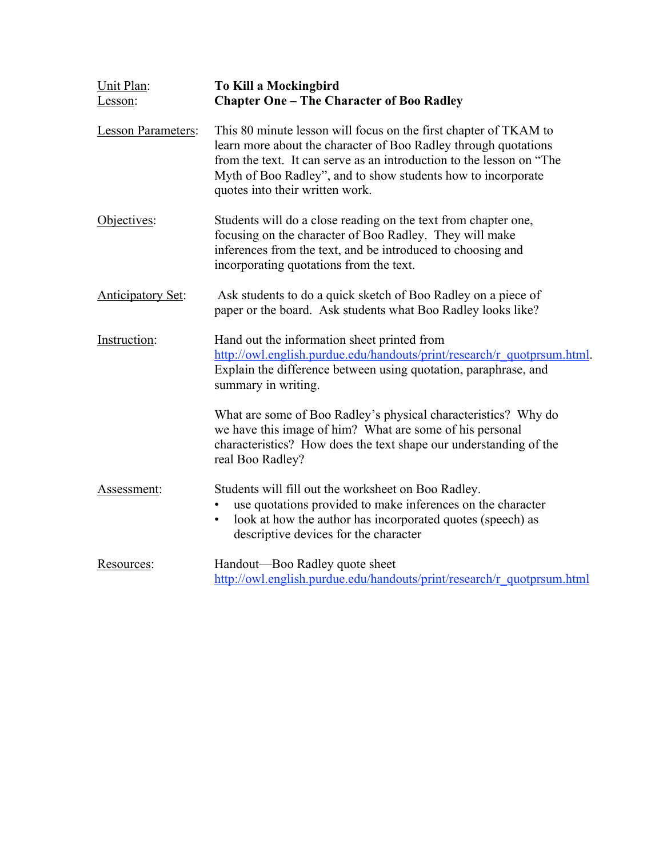| Unit Plan:<br>Lesson:    | <b>To Kill a Mockingbird</b><br><b>Chapter One - The Character of Boo Radley</b>                                                                                                                                                                                                                               |
|--------------------------|----------------------------------------------------------------------------------------------------------------------------------------------------------------------------------------------------------------------------------------------------------------------------------------------------------------|
| Lesson Parameters:       | This 80 minute lesson will focus on the first chapter of TKAM to<br>learn more about the character of Boo Radley through quotations<br>from the text. It can serve as an introduction to the lesson on "The<br>Myth of Boo Radley", and to show students how to incorporate<br>quotes into their written work. |
| Objectives:              | Students will do a close reading on the text from chapter one,<br>focusing on the character of Boo Radley. They will make<br>inferences from the text, and be introduced to choosing and<br>incorporating quotations from the text.                                                                            |
| <b>Anticipatory Set:</b> | Ask students to do a quick sketch of Boo Radley on a piece of<br>paper or the board. Ask students what Boo Radley looks like?                                                                                                                                                                                  |
| Instruction:             | Hand out the information sheet printed from<br>http://owl.english.purdue.edu/handouts/print/research/r_quotprsum.html.<br>Explain the difference between using quotation, paraphrase, and<br>summary in writing.                                                                                               |
|                          | What are some of Boo Radley's physical characteristics? Why do<br>we have this image of him? What are some of his personal<br>characteristics? How does the text shape our understanding of the<br>real Boo Radley?                                                                                            |
| Assessment:              | Students will fill out the worksheet on Boo Radley.<br>use quotations provided to make inferences on the character<br>$\bullet$<br>look at how the author has incorporated quotes (speech) as<br>$\bullet$<br>descriptive devices for the character                                                            |
| Resources:               | Handout—Boo Radley quote sheet<br>http://owl.english.purdue.edu/handouts/print/research/r quotprsum.html                                                                                                                                                                                                       |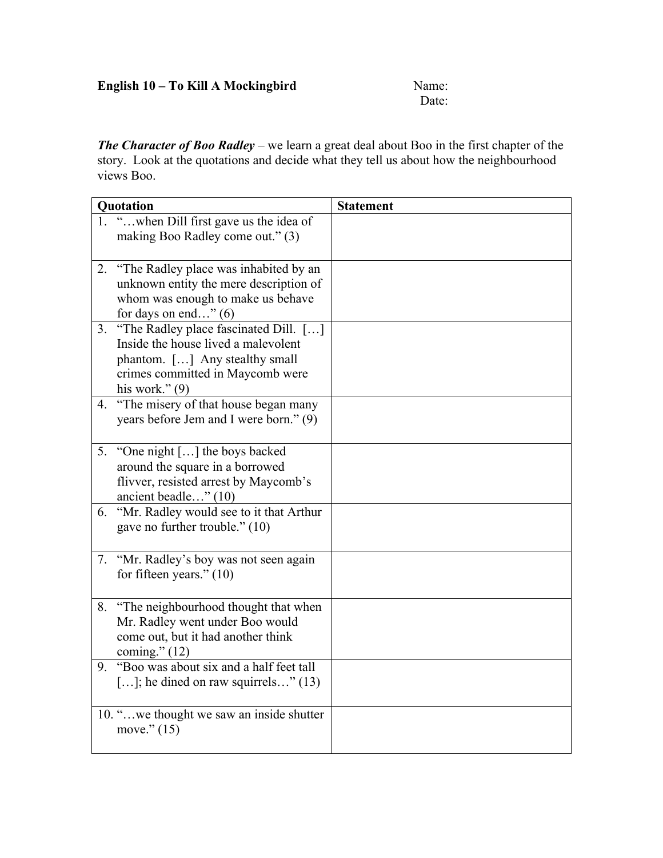*The Character of Boo Radley* – we learn a great deal about Boo in the first chapter of the story. Look at the quotations and decide what they tell us about how the neighbourhood views Boo.

| <b>Quotation</b>                                                                                                                                                             | <b>Statement</b> |
|------------------------------------------------------------------------------------------------------------------------------------------------------------------------------|------------------|
| 1. "when Dill first gave us the idea of<br>making Boo Radley come out." (3)                                                                                                  |                  |
| "The Radley place was inhabited by an<br>2.<br>unknown entity the mere description of<br>whom was enough to make us behave<br>for days on end" $(6)$                         |                  |
| "The Radley place fascinated Dill. []<br>3.<br>Inside the house lived a malevolent<br>phantom. [] Any stealthy small<br>crimes committed in Maycomb were<br>his work." $(9)$ |                  |
| "The misery of that house began many<br>4.<br>years before Jem and I were born." (9)                                                                                         |                  |
| "One night [] the boys backed<br>5.<br>around the square in a borrowed<br>flivver, resisted arrest by Maycomb's<br>ancient beadle" (10)                                      |                  |
| "Mr. Radley would see to it that Arthur<br>6.<br>gave no further trouble." (10)                                                                                              |                  |
| "Mr. Radley's boy was not seen again<br>7.<br>for fifteen years." $(10)$                                                                                                     |                  |
| "The neighbourhood thought that when<br>8.<br>Mr. Radley went under Boo would<br>come out, but it had another think<br>coming." $(12)$                                       |                  |
| 9. "Boo was about six and a half feet tall<br>[]; he dined on raw squirrels" $(13)$                                                                                          |                  |
| 10. "we thought we saw an inside shutter<br>move." $(15)$                                                                                                                    |                  |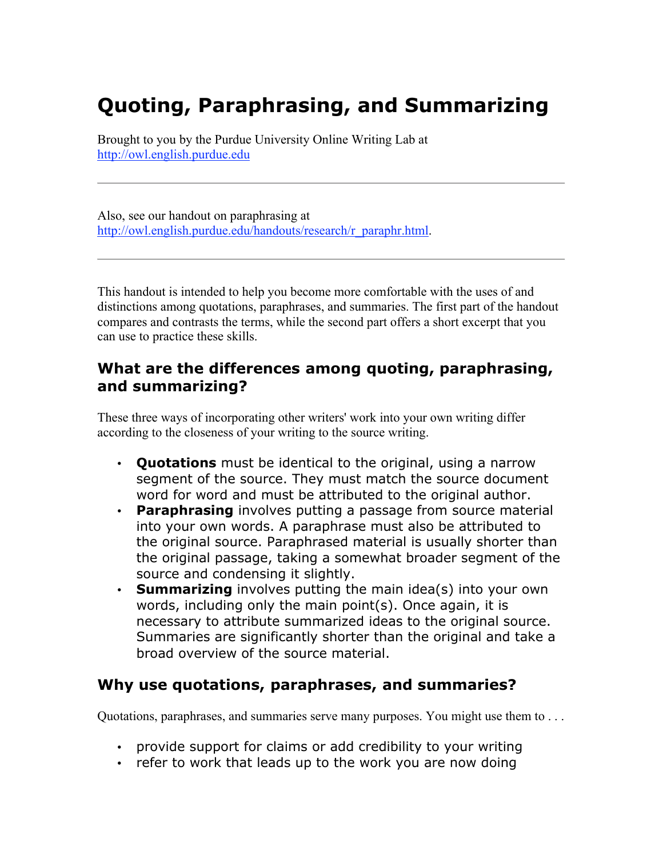# **Quoting, Paraphrasing, and Summarizing**

Brought to you by the Purdue University Online Writing Lab at http://owl.english.purdue.edu

Also, see our handout on paraphrasing at http://owl.english.purdue.edu/handouts/research/r\_paraphr.html.

This handout is intended to help you become more comfortable with the uses of and distinctions among quotations, paraphrases, and summaries. The first part of the handout compares and contrasts the terms, while the second part offers a short excerpt that you can use to practice these skills.

### **What are the differences among quoting, paraphrasing, and summarizing?**

These three ways of incorporating other writers' work into your own writing differ according to the closeness of your writing to the source writing.

- **Quotations** must be identical to the original, using a narrow segment of the source. They must match the source document word for word and must be attributed to the original author.
- **Paraphrasing** involves putting a passage from source material into your own words. A paraphrase must also be attributed to the original source. Paraphrased material is usually shorter than the original passage, taking a somewhat broader segment of the source and condensing it slightly.
- **Summarizing** involves putting the main idea(s) into your own words, including only the main point(s). Once again, it is necessary to attribute summarized ideas to the original source. Summaries are significantly shorter than the original and take a broad overview of the source material.

### **Why use quotations, paraphrases, and summaries?**

Quotations, paraphrases, and summaries serve many purposes. You might use them to . . .

- provide support for claims or add credibility to your writing
- refer to work that leads up to the work you are now doing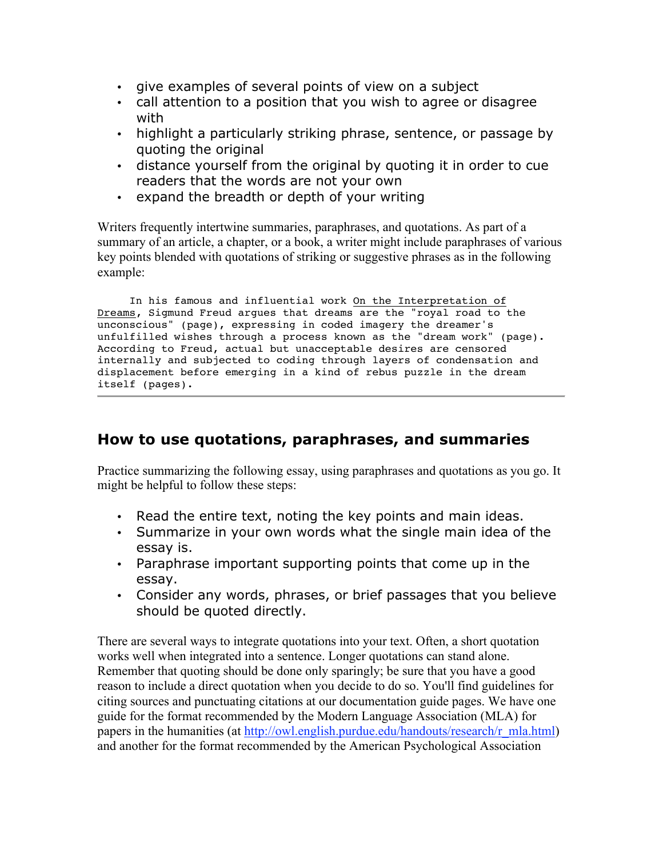- give examples of several points of view on a subject
- call attention to a position that you wish to agree or disagree with
- highlight a particularly striking phrase, sentence, or passage by quoting the original
- distance yourself from the original by quoting it in order to cue readers that the words are not your own
- expand the breadth or depth of your writing

Writers frequently intertwine summaries, paraphrases, and quotations. As part of a summary of an article, a chapter, or a book, a writer might include paraphrases of various key points blended with quotations of striking or suggestive phrases as in the following example:

In his famous and influential work On the Interpretation of Dreams, Sigmund Freud argues that dreams are the "royal road to the unconscious" (page), expressing in coded imagery the dreamer's unfulfilled wishes through a process known as the "dream work" (page). According to Freud, actual but unacceptable desires are censored internally and subjected to coding through layers of condensation and displacement before emerging in a kind of rebus puzzle in the dream itself (pages).

### **How to use quotations, paraphrases, and summaries**

Practice summarizing the following essay, using paraphrases and quotations as you go. It might be helpful to follow these steps:

- Read the entire text, noting the key points and main ideas.
- Summarize in your own words what the single main idea of the essay is.
- Paraphrase important supporting points that come up in the essay.
- Consider any words, phrases, or brief passages that you believe should be quoted directly.

There are several ways to integrate quotations into your text. Often, a short quotation works well when integrated into a sentence. Longer quotations can stand alone. Remember that quoting should be done only sparingly; be sure that you have a good reason to include a direct quotation when you decide to do so. You'll find guidelines for citing sources and punctuating citations at our documentation guide pages. We have one guide for the format recommended by the Modern Language Association (MLA) for papers in the humanities (at http://owl.english.purdue.edu/handouts/research/r\_mla.html) and another for the format recommended by the American Psychological Association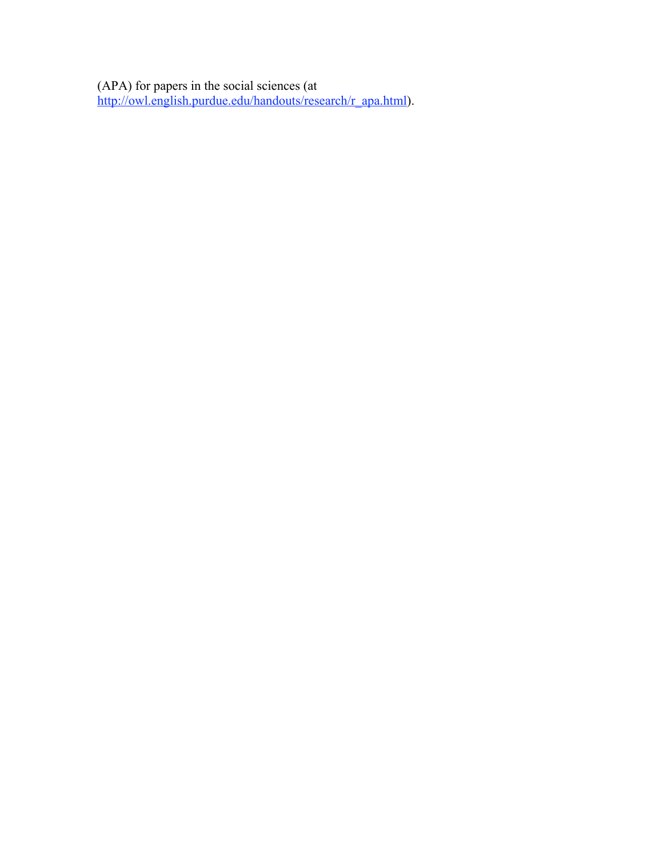(APA) for papers in the social sciences (at

http://owl.english.purdue.edu/handouts/research/r\_apa.html).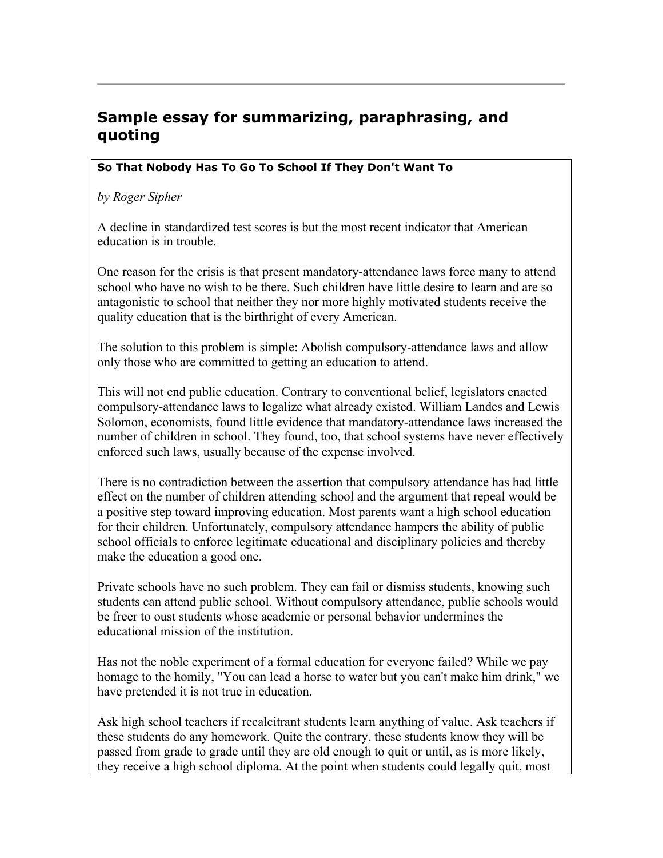## **Sample essay for summarizing, paraphrasing, and quoting**

#### **So That Nobody Has To Go To School If They Don't Want To**

#### *by Roger Sipher*

A decline in standardized test scores is but the most recent indicator that American education is in trouble.

One reason for the crisis is that present mandatory-attendance laws force many to attend school who have no wish to be there. Such children have little desire to learn and are so antagonistic to school that neither they nor more highly motivated students receive the quality education that is the birthright of every American.

The solution to this problem is simple: Abolish compulsory-attendance laws and allow only those who are committed to getting an education to attend.

This will not end public education. Contrary to conventional belief, legislators enacted compulsory-attendance laws to legalize what already existed. William Landes and Lewis Solomon, economists, found little evidence that mandatory-attendance laws increased the number of children in school. They found, too, that school systems have never effectively enforced such laws, usually because of the expense involved.

There is no contradiction between the assertion that compulsory attendance has had little effect on the number of children attending school and the argument that repeal would be a positive step toward improving education. Most parents want a high school education for their children. Unfortunately, compulsory attendance hampers the ability of public school officials to enforce legitimate educational and disciplinary policies and thereby make the education a good one.

Private schools have no such problem. They can fail or dismiss students, knowing such students can attend public school. Without compulsory attendance, public schools would be freer to oust students whose academic or personal behavior undermines the educational mission of the institution.

Has not the noble experiment of a formal education for everyone failed? While we pay homage to the homily, "You can lead a horse to water but you can't make him drink," we have pretended it is not true in education.

Ask high school teachers if recalcitrant students learn anything of value. Ask teachers if these students do any homework. Quite the contrary, these students know they will be passed from grade to grade until they are old enough to quit or until, as is more likely, they receive a high school diploma. At the point when students could legally quit, most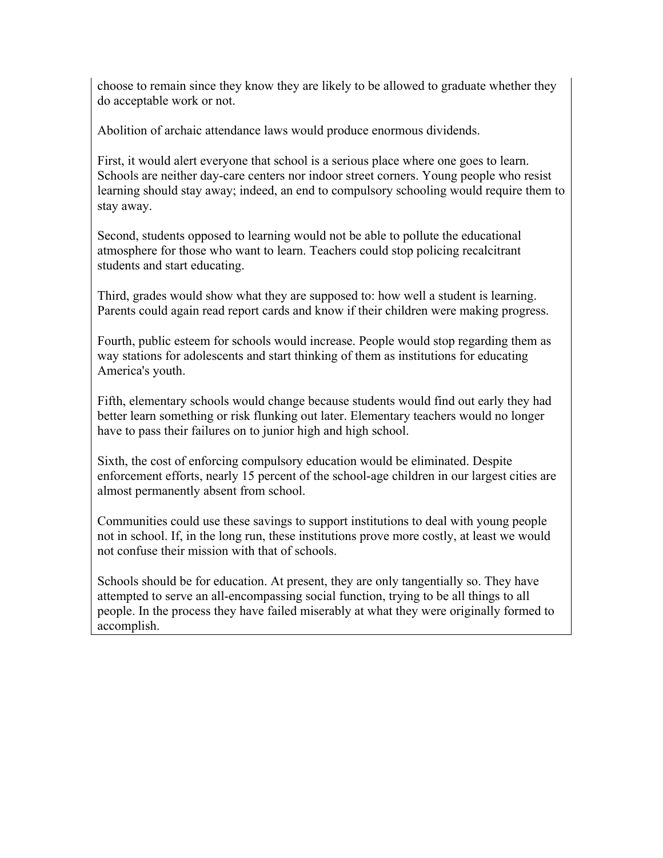choose to remain since they know they are likely to be allowed to graduate whether they do acceptable work or not.

Abolition of archaic attendance laws would produce enormous dividends.

First, it would alert everyone that school is a serious place where one goes to learn. Schools are neither day-care centers nor indoor street corners. Young people who resist learning should stay away; indeed, an end to compulsory schooling would require them to stay away.

Second, students opposed to learning would not be able to pollute the educational atmosphere for those who want to learn. Teachers could stop policing recalcitrant students and start educating.

Third, grades would show what they are supposed to: how well a student is learning. Parents could again read report cards and know if their children were making progress.

Fourth, public esteem for schools would increase. People would stop regarding them as way stations for adolescents and start thinking of them as institutions for educating America's youth.

Fifth, elementary schools would change because students would find out early they had better learn something or risk flunking out later. Elementary teachers would no longer have to pass their failures on to junior high and high school.

Sixth, the cost of enforcing compulsory education would be eliminated. Despite enforcement efforts, nearly 15 percent of the school-age children in our largest cities are almost permanently absent from school.

Communities could use these savings to support institutions to deal with young people not in school. If, in the long run, these institutions prove more costly, at least we would not confuse their mission with that of schools.

Schools should be for education. At present, they are only tangentially so. They have attempted to serve an all-encompassing social function, trying to be all things to all people. In the process they have failed miserably at what they were originally formed to accomplish.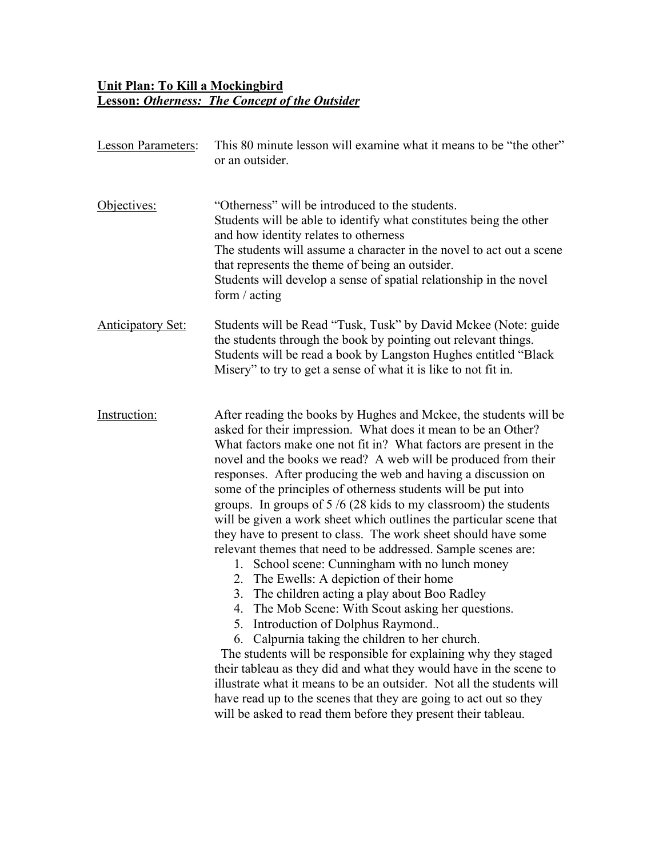#### **Unit Plan: To Kill a Mockingbird Lesson:** *Otherness: The Concept of the Outsider*

| <b>Lesson Parameters:</b> | This 80 minute lesson will examine what it means to be "the other"<br>or an outsider.                                                                                                                                                                                                                                                                                                                                                                                                                                                                                                                                                                                                                                                                                                                                                                                                                                                                                                                                                                                                                                                                                                                                                                                                                                                              |
|---------------------------|----------------------------------------------------------------------------------------------------------------------------------------------------------------------------------------------------------------------------------------------------------------------------------------------------------------------------------------------------------------------------------------------------------------------------------------------------------------------------------------------------------------------------------------------------------------------------------------------------------------------------------------------------------------------------------------------------------------------------------------------------------------------------------------------------------------------------------------------------------------------------------------------------------------------------------------------------------------------------------------------------------------------------------------------------------------------------------------------------------------------------------------------------------------------------------------------------------------------------------------------------------------------------------------------------------------------------------------------------|
| Objectives:               | "Otherness" will be introduced to the students.<br>Students will be able to identify what constitutes being the other<br>and how identity relates to otherness<br>The students will assume a character in the novel to act out a scene<br>that represents the theme of being an outsider.<br>Students will develop a sense of spatial relationship in the novel<br>form $/$ acting                                                                                                                                                                                                                                                                                                                                                                                                                                                                                                                                                                                                                                                                                                                                                                                                                                                                                                                                                                 |
| <b>Anticipatory Set:</b>  | Students will be Read "Tusk, Tusk" by David Mckee (Note: guide<br>the students through the book by pointing out relevant things.<br>Students will be read a book by Langston Hughes entitled "Black"<br>Misery" to try to get a sense of what it is like to not fit in.                                                                                                                                                                                                                                                                                                                                                                                                                                                                                                                                                                                                                                                                                                                                                                                                                                                                                                                                                                                                                                                                            |
| Instruction:              | After reading the books by Hughes and Mckee, the students will be<br>asked for their impression. What does it mean to be an Other?<br>What factors make one not fit in? What factors are present in the<br>novel and the books we read? A web will be produced from their<br>responses. After producing the web and having a discussion on<br>some of the principles of otherness students will be put into<br>groups. In groups of $5/6$ (28 kids to my classroom) the students<br>will be given a work sheet which outlines the particular scene that<br>they have to present to class. The work sheet should have some<br>relevant themes that need to be addressed. Sample scenes are:<br>1. School scene: Cunningham with no lunch money<br>2. The Ewells: A depiction of their home<br>3. The children acting a play about Boo Radley<br>4. The Mob Scene: With Scout asking her questions.<br>5. Introduction of Dolphus Raymond<br>6. Calpurnia taking the children to her church.<br>The students will be responsible for explaining why they staged<br>their tableau as they did and what they would have in the scene to<br>illustrate what it means to be an outsider. Not all the students will<br>have read up to the scenes that they are going to act out so they<br>will be asked to read them before they present their tableau. |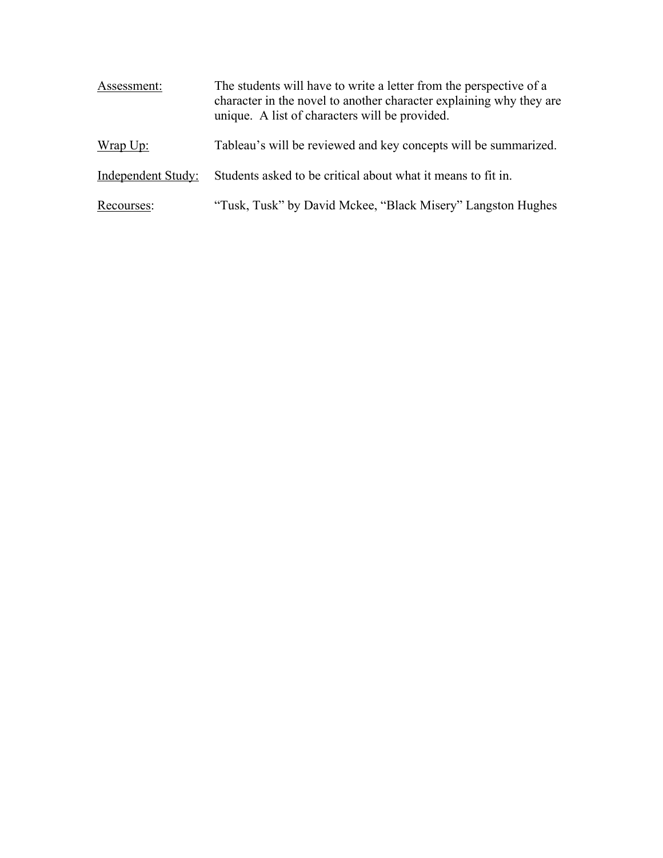| Assessment:        | The students will have to write a letter from the perspective of a<br>character in the novel to another character explaining why they are<br>unique. A list of characters will be provided. |
|--------------------|---------------------------------------------------------------------------------------------------------------------------------------------------------------------------------------------|
| <u>Wrap Up:</u>    | Tableau's will be reviewed and key concepts will be summarized.                                                                                                                             |
| Independent Study: | Students asked to be critical about what it means to fit in.                                                                                                                                |
| Recourses:         | "Tusk, Tusk" by David Mckee, "Black Misery" Langston Hughes                                                                                                                                 |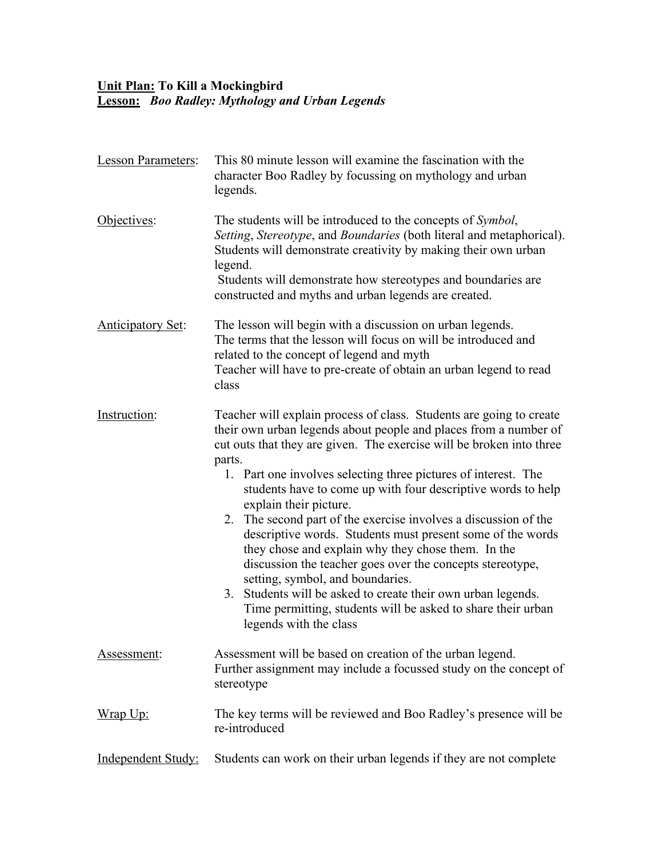#### **Unit Plan: To Kill a Mockingbird Lesson:** *Boo Radley: Mythology and Urban Legends*

| This 80 minute lesson will examine the fascination with the<br>character Boo Radley by focussing on mythology and urban<br>legends.                                                                                                                                                                                                                                                                                                                                                                                                                                                                        |  |
|------------------------------------------------------------------------------------------------------------------------------------------------------------------------------------------------------------------------------------------------------------------------------------------------------------------------------------------------------------------------------------------------------------------------------------------------------------------------------------------------------------------------------------------------------------------------------------------------------------|--|
| The students will be introduced to the concepts of <i>Symbol</i> ,<br>Setting, Stereotype, and Boundaries (both literal and metaphorical).<br>Students will demonstrate creativity by making their own urban<br>legend.<br>Students will demonstrate how stereotypes and boundaries are                                                                                                                                                                                                                                                                                                                    |  |
| constructed and myths and urban legends are created.                                                                                                                                                                                                                                                                                                                                                                                                                                                                                                                                                       |  |
| The lesson will begin with a discussion on urban legends.<br>The terms that the lesson will focus on will be introduced and<br>related to the concept of legend and myth<br>Teacher will have to pre-create of obtain an urban legend to read<br>class                                                                                                                                                                                                                                                                                                                                                     |  |
| Teacher will explain process of class. Students are going to create<br>their own urban legends about people and places from a number of<br>cut outs that they are given. The exercise will be broken into three<br>parts.                                                                                                                                                                                                                                                                                                                                                                                  |  |
| 1. Part one involves selecting three pictures of interest. The<br>students have to come up with four descriptive words to help<br>explain their picture.<br>2. The second part of the exercise involves a discussion of the<br>descriptive words. Students must present some of the words<br>they chose and explain why they chose them. In the<br>discussion the teacher goes over the concepts stereotype,<br>setting, symbol, and boundaries.<br>3. Students will be asked to create their own urban legends.<br>Time permitting, students will be asked to share their urban<br>legends with the class |  |
| Assessment will be based on creation of the urban legend.<br>Further assignment may include a focussed study on the concept of<br>stereotype                                                                                                                                                                                                                                                                                                                                                                                                                                                               |  |
| The key terms will be reviewed and Boo Radley's presence will be<br>re-introduced                                                                                                                                                                                                                                                                                                                                                                                                                                                                                                                          |  |
| Students can work on their urban legends if they are not complete                                                                                                                                                                                                                                                                                                                                                                                                                                                                                                                                          |  |
|                                                                                                                                                                                                                                                                                                                                                                                                                                                                                                                                                                                                            |  |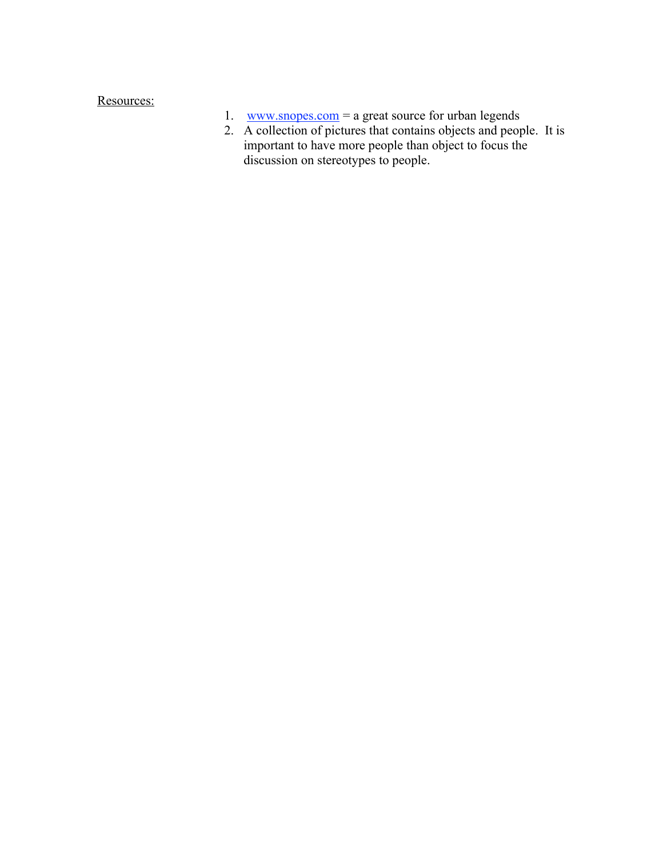#### Resources:

- 1. www.snopes.com = a great source for urban legends
- 2. A collection of pictures that contains objects and people. It is important to have more people than object to focus the discussion on stereotypes to people.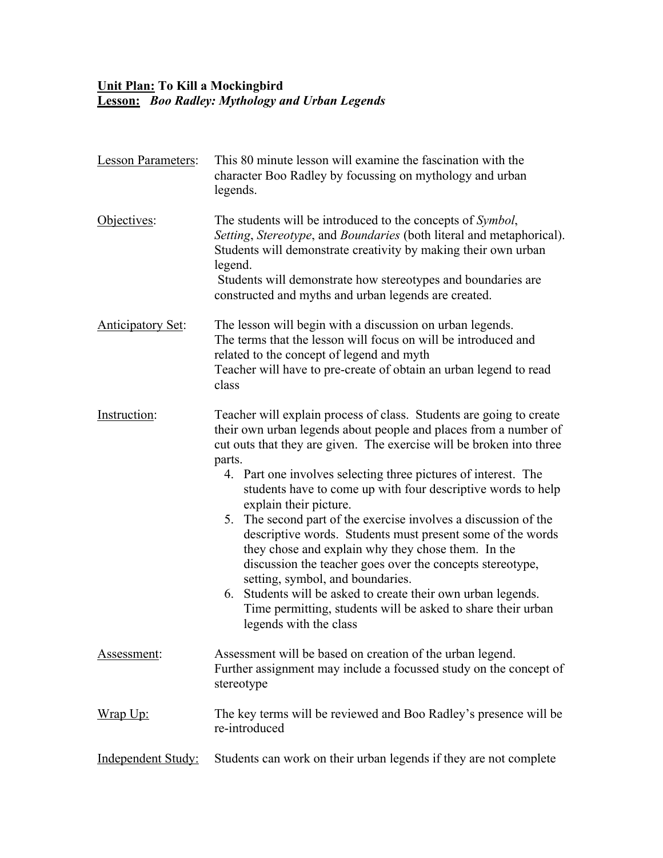#### **Unit Plan: To Kill a Mockingbird Lesson:** *Boo Radley: Mythology and Urban Legends*

| <b>Lesson Parameters:</b> | This 80 minute lesson will examine the fascination with the<br>character Boo Radley by focussing on mythology and urban<br>legends.                                                                                                                                                                                                                                                                                                                                                                                                                                                                                                                                                                                                                                                                                                     |  |
|---------------------------|-----------------------------------------------------------------------------------------------------------------------------------------------------------------------------------------------------------------------------------------------------------------------------------------------------------------------------------------------------------------------------------------------------------------------------------------------------------------------------------------------------------------------------------------------------------------------------------------------------------------------------------------------------------------------------------------------------------------------------------------------------------------------------------------------------------------------------------------|--|
| Objectives:               | The students will be introduced to the concepts of Symbol,<br>Setting, Stereotype, and Boundaries (both literal and metaphorical).<br>Students will demonstrate creativity by making their own urban<br>legend.<br>Students will demonstrate how stereotypes and boundaries are                                                                                                                                                                                                                                                                                                                                                                                                                                                                                                                                                         |  |
| <b>Anticipatory Set:</b>  | constructed and myths and urban legends are created.<br>The lesson will begin with a discussion on urban legends.<br>The terms that the lesson will focus on will be introduced and<br>related to the concept of legend and myth<br>Teacher will have to pre-create of obtain an urban legend to read<br>class                                                                                                                                                                                                                                                                                                                                                                                                                                                                                                                          |  |
| Instruction:              | Teacher will explain process of class. Students are going to create<br>their own urban legends about people and places from a number of<br>cut outs that they are given. The exercise will be broken into three<br>parts.<br>4. Part one involves selecting three pictures of interest. The<br>students have to come up with four descriptive words to help<br>explain their picture.<br>5. The second part of the exercise involves a discussion of the<br>descriptive words. Students must present some of the words<br>they chose and explain why they chose them. In the<br>discussion the teacher goes over the concepts stereotype,<br>setting, symbol, and boundaries.<br>6. Students will be asked to create their own urban legends.<br>Time permitting, students will be asked to share their urban<br>legends with the class |  |
| Assessment:               | Assessment will be based on creation of the urban legend.<br>Further assignment may include a focussed study on the concept of<br>stereotype                                                                                                                                                                                                                                                                                                                                                                                                                                                                                                                                                                                                                                                                                            |  |
| $W$ rap Up:               | The key terms will be reviewed and Boo Radley's presence will be<br>re-introduced                                                                                                                                                                                                                                                                                                                                                                                                                                                                                                                                                                                                                                                                                                                                                       |  |
| <b>Independent Study:</b> | Students can work on their urban legends if they are not complete                                                                                                                                                                                                                                                                                                                                                                                                                                                                                                                                                                                                                                                                                                                                                                       |  |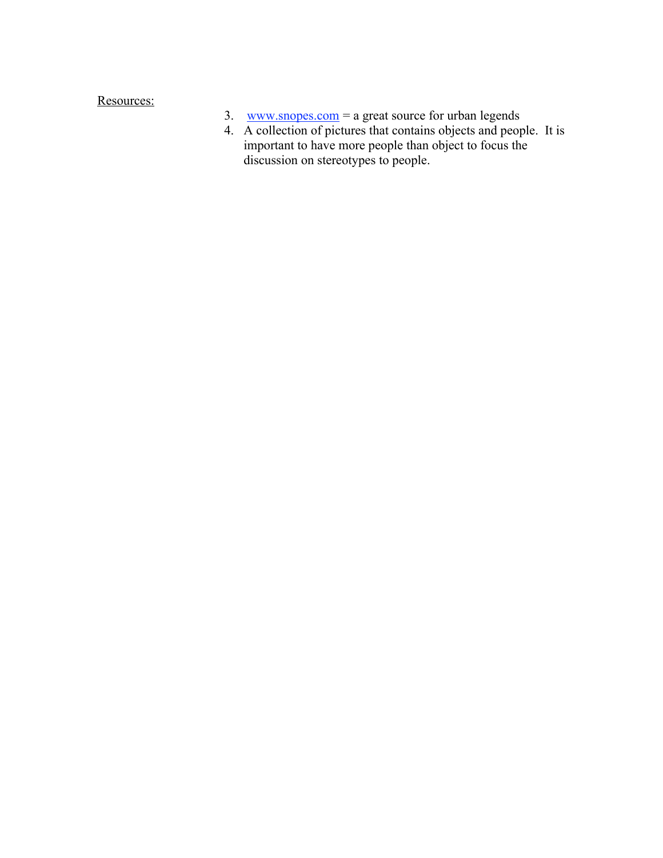#### Resources:

- 3. www.snopes.com = a great source for urban legends
- 4. A collection of pictures that contains objects and people. It is important to have more people than object to focus the discussion on stereotypes to people.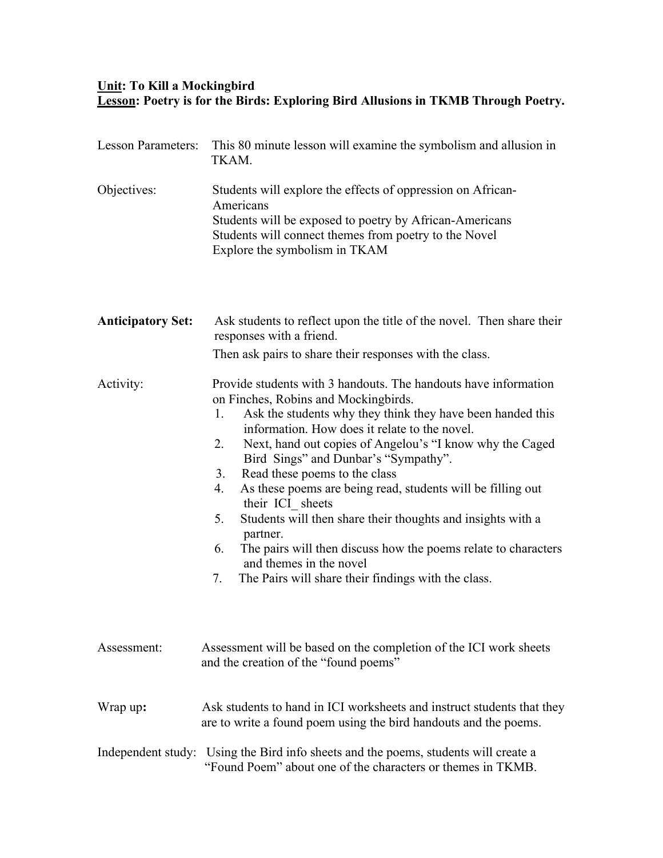#### **Unit: To Kill a Mockingbird Lesson: Poetry is for the Birds: Exploring Bird Allusions in TKMB Through Poetry.**

| <b>Lesson Parameters:</b> | This 80 minute lesson will examine the symbolism and allusion in<br>TKAM.                                                                                                                                                                                                                                                                                                                                                                                                                                                                                                                                                                                                                                               |  |
|---------------------------|-------------------------------------------------------------------------------------------------------------------------------------------------------------------------------------------------------------------------------------------------------------------------------------------------------------------------------------------------------------------------------------------------------------------------------------------------------------------------------------------------------------------------------------------------------------------------------------------------------------------------------------------------------------------------------------------------------------------------|--|
| Objectives:               | Students will explore the effects of oppression on African-<br>Americans<br>Students will be exposed to poetry by African-Americans<br>Students will connect themes from poetry to the Novel<br>Explore the symbolism in TKAM                                                                                                                                                                                                                                                                                                                                                                                                                                                                                           |  |
| <b>Anticipatory Set:</b>  | Ask students to reflect upon the title of the novel. Then share their<br>responses with a friend.<br>Then ask pairs to share their responses with the class.                                                                                                                                                                                                                                                                                                                                                                                                                                                                                                                                                            |  |
| Activity:                 | Provide students with 3 handouts. The handouts have information<br>on Finches, Robins and Mockingbirds.<br>Ask the students why they think they have been handed this<br>1.<br>information. How does it relate to the novel.<br>Next, hand out copies of Angelou's "I know why the Caged<br>2.<br>Bird Sings" and Dunbar's "Sympathy".<br>3.<br>Read these poems to the class<br>As these poems are being read, students will be filling out<br>4.<br>their ICI sheets<br>5.<br>Students will then share their thoughts and insights with a<br>partner.<br>The pairs will then discuss how the poems relate to characters<br>6.<br>and themes in the novel<br>The Pairs will share their findings with the class.<br>7. |  |
| Assessment:               | Assessment will be based on the completion of the ICI work sheets<br>and the creation of the "found poems"                                                                                                                                                                                                                                                                                                                                                                                                                                                                                                                                                                                                              |  |
| Wrap up:                  | Ask students to hand in ICI worksheets and instruct students that they<br>are to write a found poem using the bird handouts and the poems.                                                                                                                                                                                                                                                                                                                                                                                                                                                                                                                                                                              |  |
| Independent study:        | Using the Bird info sheets and the poems, students will create a<br>"Found Poem" about one of the characters or themes in TKMB.                                                                                                                                                                                                                                                                                                                                                                                                                                                                                                                                                                                         |  |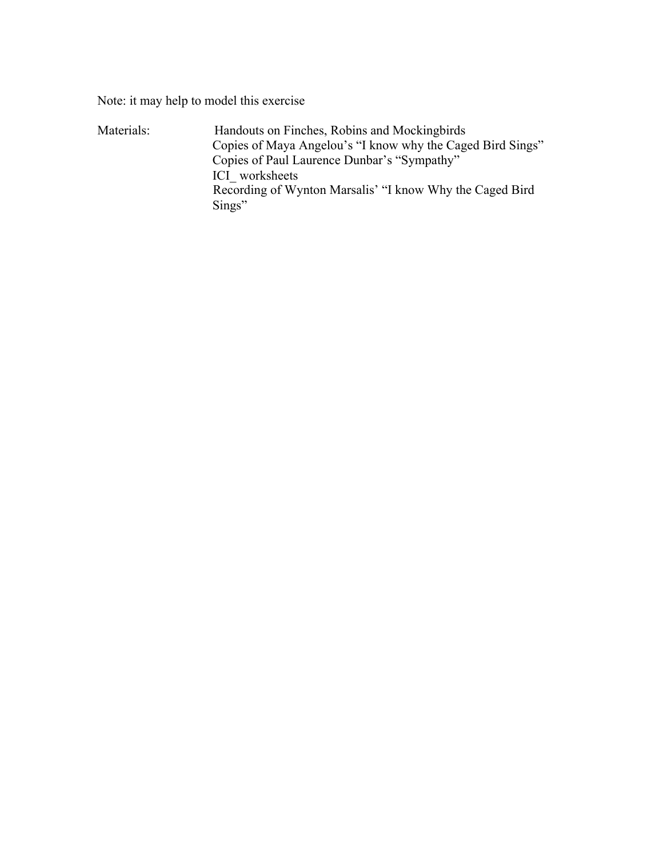Note: it may help to model this exercise

Materials: Handouts on Finches, Robins and Mockingbirds Copies of Maya Angelou's "I know why the Caged Bird Sings" Copies of Paul Laurence Dunbar's "Sympathy" ICI\_ worksheets Recording of Wynton Marsalis' "I know Why the Caged Bird Sings"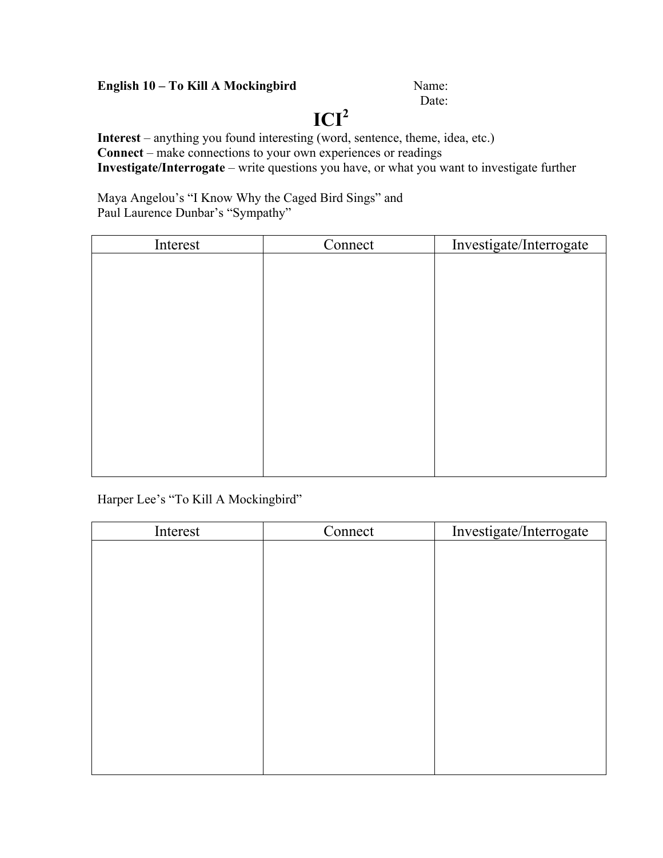**English 10 – To Kill A Mockingbird** Name:

Date:

# **ICI 2**

**Interest** – anything you found interesting (word, sentence, theme, idea, etc.) **Connect** – make connections to your own experiences or readings **Investigate/Interrogate** – write questions you have, or what you want to investigate further

Maya Angelou's "I Know Why the Caged Bird Sings" and Paul Laurence Dunbar's "Sympathy"

| Interest | Connect | Investigate/Interrogate |
|----------|---------|-------------------------|
|          |         |                         |
|          |         |                         |
|          |         |                         |
|          |         |                         |
|          |         |                         |
|          |         |                         |
|          |         |                         |
|          |         |                         |
|          |         |                         |
|          |         |                         |
|          |         |                         |
|          |         |                         |

Harper Lee's "To Kill A Mockingbird"

| Interest | Connect | Investigate/Interrogate |
|----------|---------|-------------------------|
|          |         |                         |
|          |         |                         |
|          |         |                         |
|          |         |                         |
|          |         |                         |
|          |         |                         |
|          |         |                         |
|          |         |                         |
|          |         |                         |
|          |         |                         |
|          |         |                         |
|          |         |                         |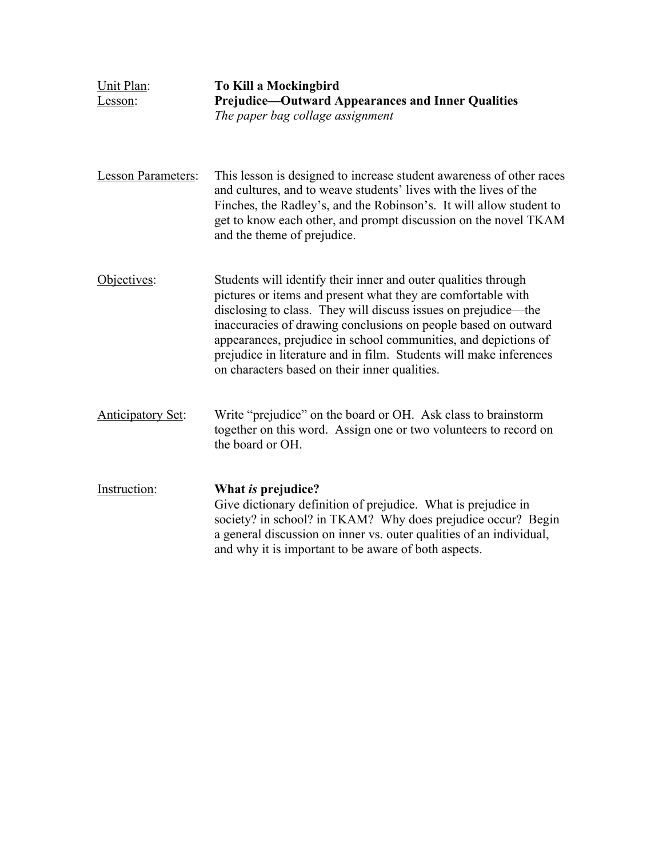| Unit Plan:<br>Lesson:     | <b>To Kill a Mockingbird</b><br>Prejudice-Outward Appearances and Inner Qualities<br>The paper bag collage assignment                                                                                                                                                                                                                                                                                                                                        |
|---------------------------|--------------------------------------------------------------------------------------------------------------------------------------------------------------------------------------------------------------------------------------------------------------------------------------------------------------------------------------------------------------------------------------------------------------------------------------------------------------|
| <b>Lesson Parameters:</b> | This lesson is designed to increase student awareness of other races<br>and cultures, and to weave students' lives with the lives of the<br>Finches, the Radley's, and the Robinson's. It will allow student to<br>get to know each other, and prompt discussion on the novel TKAM<br>and the theme of prejudice.                                                                                                                                            |
| Objectives:               | Students will identify their inner and outer qualities through<br>pictures or items and present what they are comfortable with<br>disclosing to class. They will discuss issues on prejudice—the<br>inaccuracies of drawing conclusions on people based on outward<br>appearances, prejudice in school communities, and depictions of<br>prejudice in literature and in film. Students will make inferences<br>on characters based on their inner qualities. |
| <b>Anticipatory Set:</b>  | Write "prejudice" on the board or OH. Ask class to brainstorm<br>together on this word. Assign one or two volunteers to record on<br>the board or OH.                                                                                                                                                                                                                                                                                                        |
| Instruction:              | What is prejudice?<br>Give dictionary definition of prejudice. What is prejudice in<br>society? in school? in TKAM? Why does prejudice occur? Begin<br>a general discussion on inner vs. outer qualities of an individual,<br>and why it is important to be aware of both aspects.                                                                                                                                                                           |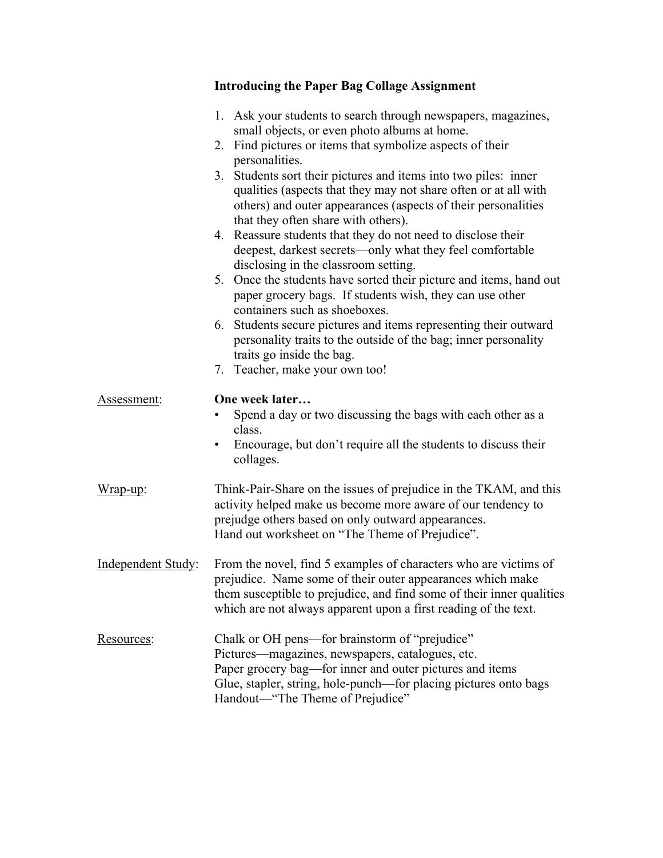| 1. Ask your students to search through newspapers, magazines, |
|---------------------------------------------------------------|
| small objects, or even photo albums at home.                  |

- 2. Find pictures or items that symbolize aspects of their personalities.
- 3. Students sort their pictures and items into two piles: inner qualities (aspects that they may not share often or at all with others) and outer appearances (aspects of their personalities that they often share with others).
- 4. Reassure students that they do not need to disclose their deepest, darkest secrets—only what they feel comfortable disclosing in the classroom setting.
- 5. Once the students have sorted their picture and items, hand out paper grocery bags. If students wish, they can use other containers such as shoeboxes.
- 6. Students secure pictures and items representing their outward personality traits to the outside of the bag; inner personality traits go inside the bag.
- 7. Teacher, make your own too!

Assessment: **One week later…**

- Spend a day or two discussing the bags with each other as a class.
- Encourage, but don't require all the students to discuss their collages.
- Wrap-up: Think-Pair-Share on the issues of prejudice in the TKAM, and this activity helped make us become more aware of our tendency to prejudge others based on only outward appearances. Hand out worksheet on "The Theme of Prejudice".
- Independent Study: From the novel, find 5 examples of characters who are victims of prejudice. Name some of their outer appearances which make them susceptible to prejudice, and find some of their inner qualities which are not always apparent upon a first reading of the text.
- Resources: Chalk or OH pens—for brainstorm of "prejudice" Pictures—magazines, newspapers, catalogues, etc. Paper grocery bag—for inner and outer pictures and items Glue, stapler, string, hole-punch—for placing pictures onto bags Handout—"The Theme of Prejudice"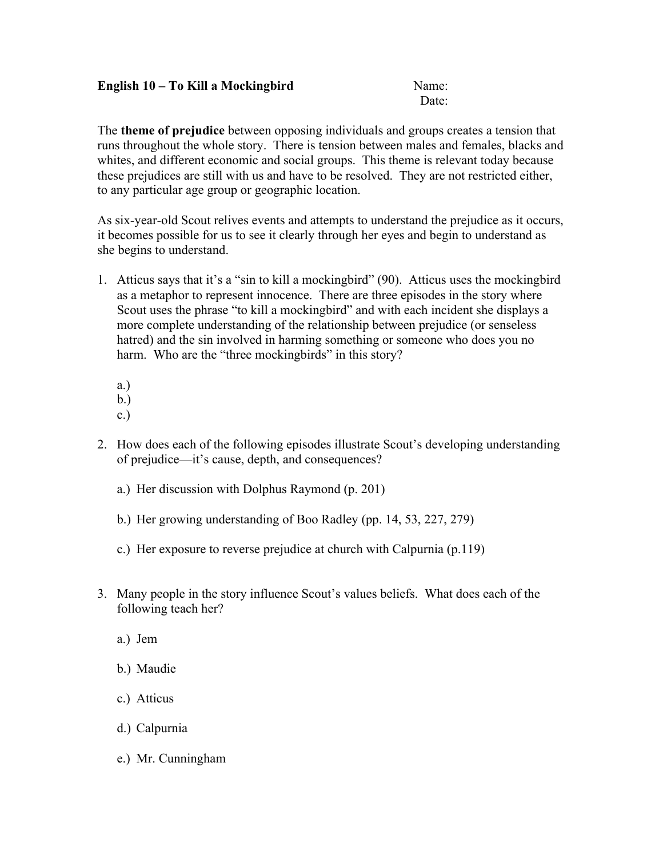| English 10 – To Kill a Mockingbird | Name: |
|------------------------------------|-------|
|                                    | Date: |

The **theme of prejudice** between opposing individuals and groups creates a tension that runs throughout the whole story. There is tension between males and females, blacks and whites, and different economic and social groups. This theme is relevant today because these prejudices are still with us and have to be resolved. They are not restricted either, to any particular age group or geographic location.

As six-year-old Scout relives events and attempts to understand the prejudice as it occurs, it becomes possible for us to see it clearly through her eyes and begin to understand as she begins to understand.

- 1. Atticus says that it's a "sin to kill a mockingbird" (90). Atticus uses the mockingbird as a metaphor to represent innocence. There are three episodes in the story where Scout uses the phrase "to kill a mockingbird" and with each incident she displays a more complete understanding of the relationship between prejudice (or senseless hatred) and the sin involved in harming something or someone who does you no harm. Who are the "three mockingbirds" in this story?
	- a.)
	- b.)
	- c.)
- 2. How does each of the following episodes illustrate Scout's developing understanding of prejudice—it's cause, depth, and consequences?
	- a.) Her discussion with Dolphus Raymond (p. 201)
	- b.) Her growing understanding of Boo Radley (pp. 14, 53, 227, 279)
	- c.) Her exposure to reverse prejudice at church with Calpurnia (p.119)
- 3. Many people in the story influence Scout's values beliefs. What does each of the following teach her?
	- a.) Jem
	- b.) Maudie
	- c.) Atticus
	- d.) Calpurnia
	- e.) Mr. Cunningham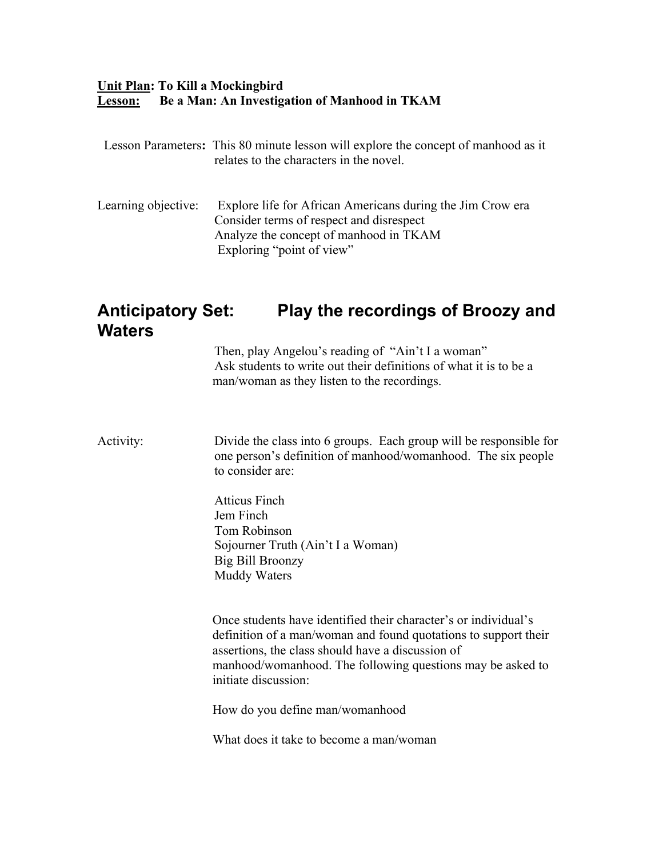#### **Unit Plan: To Kill a Mockingbird Lesson: Be a Man: An Investigation of Manhood in TKAM**

|                     | Lesson Parameters: This 80 minute lesson will explore the concept of manhood as it<br>relates to the characters in the novel.                                                 |
|---------------------|-------------------------------------------------------------------------------------------------------------------------------------------------------------------------------|
| Learning objective: | Explore life for African Americans during the Jim Crow era<br>Consider terms of respect and disrespect<br>Analyze the concept of manhood in TKAM<br>Exploring "point of view" |

# **Anticipatory Set: Play the recordings of Broozy and Waters**

Then, play Angelou's reading of "Ain't I a woman" Ask students to write out their definitions of what it is to be a man/woman as they listen to the recordings.

Activity: Divide the class into 6 groups. Each group will be responsible for one person's definition of manhood/womanhood. The six people to consider are:

> Atticus Finch Jem Finch Tom Robinson Sojourner Truth (Ain't I a Woman) Big Bill Broonzy Muddy Waters

Once students have identified their character's or individual's definition of a man/woman and found quotations to support their assertions, the class should have a discussion of manhood/womanhood. The following questions may be asked to initiate discussion:

How do you define man/womanhood

What does it take to become a man/woman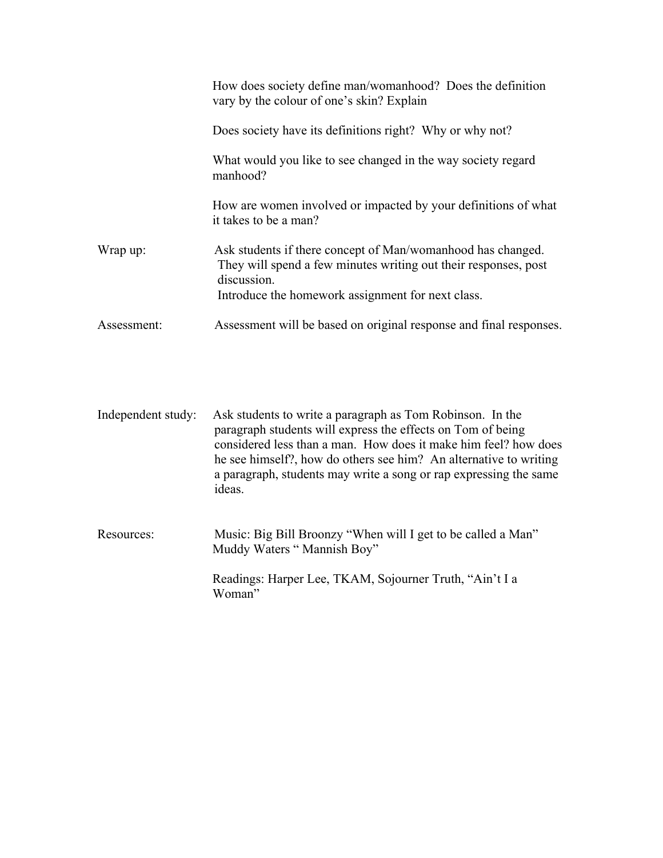|             | How does society define man/womanhood? Does the definition<br>vary by the colour of one's skin? Explain                                                                                            |
|-------------|----------------------------------------------------------------------------------------------------------------------------------------------------------------------------------------------------|
|             | Does society have its definitions right? Why or why not?                                                                                                                                           |
|             | What would you like to see changed in the way society regard<br>manhood?                                                                                                                           |
|             | How are women involved or impacted by your definitions of what<br>it takes to be a man?                                                                                                            |
| Wrap up:    | Ask students if there concept of Man/womanhood has changed.<br>They will spend a few minutes writing out their responses, post<br>discussion.<br>Introduce the homework assignment for next class. |
| Assessment: | Assessment will be based on original response and final responses.                                                                                                                                 |

Independent study: Ask students to write a paragraph as Tom Robinson. In the paragraph students will express the effects on Tom of being considered less than a man. How does it make him feel? how does he see himself?, how do others see him? An alternative to writing a paragraph, students may write a song or rap expressing the same ideas.

Resources: Music: Big Bill Broonzy "When will I get to be called a Man" Muddy Waters " Mannish Boy" Readings: Harper Lee, TKAM, Sojourner Truth, "Ain't I a Woman"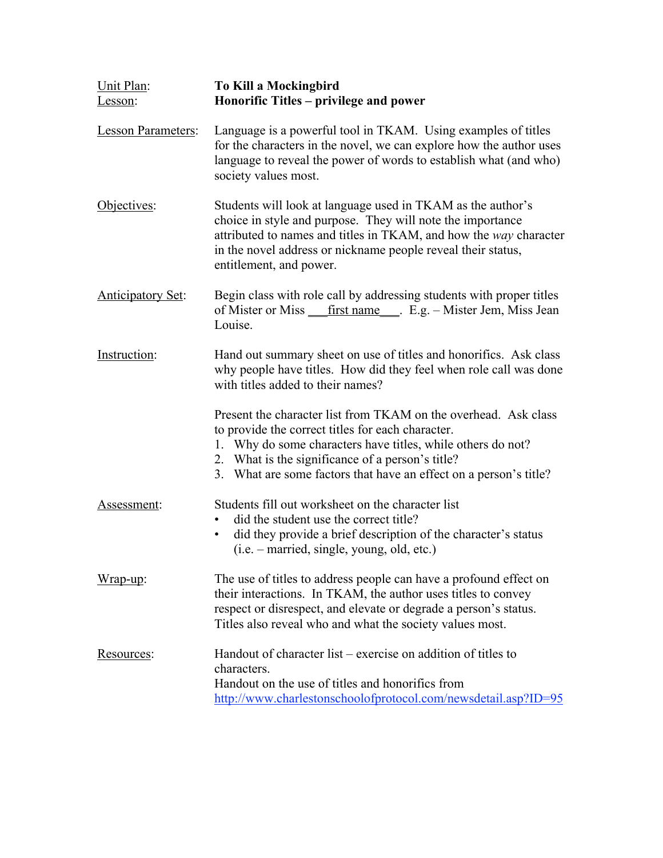| Unit Plan:<br>Lesson:     | <b>To Kill a Mockingbird</b><br>Honorific Titles – privilege and power                                                                                                                                                                                                                                       |
|---------------------------|--------------------------------------------------------------------------------------------------------------------------------------------------------------------------------------------------------------------------------------------------------------------------------------------------------------|
| <b>Lesson Parameters:</b> | Language is a powerful tool in TKAM. Using examples of titles<br>for the characters in the novel, we can explore how the author uses<br>language to reveal the power of words to establish what (and who)<br>society values most.                                                                            |
| Objectives:               | Students will look at language used in TKAM as the author's<br>choice in style and purpose. They will note the importance<br>attributed to names and titles in TKAM, and how the way character<br>in the novel address or nickname people reveal their status,<br>entitlement, and power.                    |
| <b>Anticipatory Set:</b>  | Begin class with role call by addressing students with proper titles<br>of Mister or Miss first name Fig. – Mister Jem, Miss Jean<br>Louise.                                                                                                                                                                 |
| Instruction:              | Hand out summary sheet on use of titles and honorifics. Ask class<br>why people have titles. How did they feel when role call was done<br>with titles added to their names?                                                                                                                                  |
|                           | Present the character list from TKAM on the overhead. Ask class<br>to provide the correct titles for each character.<br>1. Why do some characters have titles, while others do not?<br>2. What is the significance of a person's title?<br>3. What are some factors that have an effect on a person's title? |
| Assessment:               | Students fill out worksheet on the character list<br>did the student use the correct title?<br>did they provide a brief description of the character's status<br>٠<br>(i.e. – married, single, young, old, etc.)                                                                                             |
| $Wrap-up$ :               | The use of titles to address people can have a profound effect on<br>their interactions. In TKAM, the author uses titles to convey<br>respect or disrespect, and elevate or degrade a person's status.<br>Titles also reveal who and what the society values most.                                           |
| Resources:                | Handout of character list – exercise on addition of titles to<br>characters.<br>Handout on the use of titles and honorifics from<br>http://www.charlestonschoolofprotocol.com/newsdetail.asp?ID=95                                                                                                           |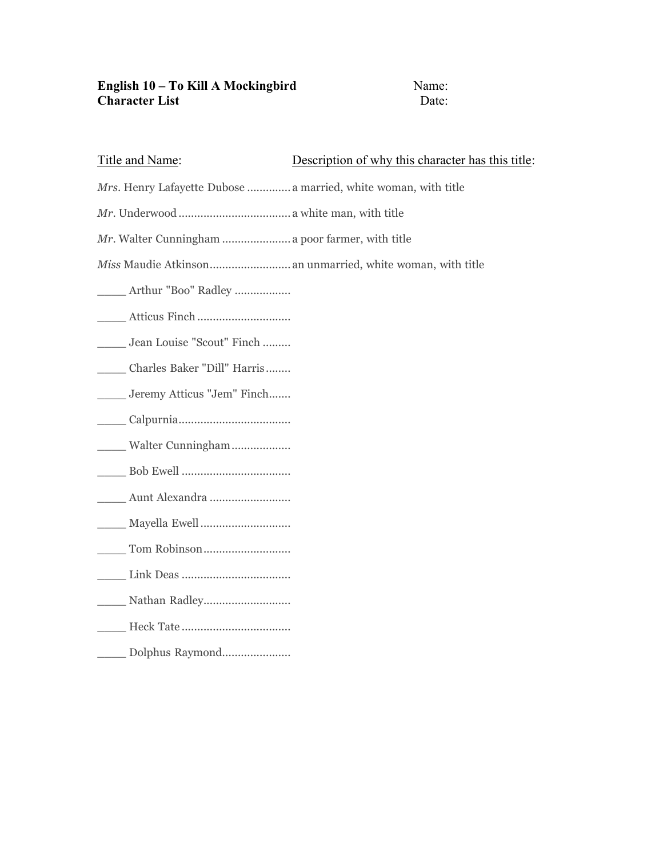| Title and Name:                                                 | Description of why this character has this title: |
|-----------------------------------------------------------------|---------------------------------------------------|
| Mrs. Henry Lafayette Dubose  a married, white woman, with title |                                                   |
|                                                                 |                                                   |
| Mr. Walter Cunningham  a poor farmer, with title                |                                                   |
|                                                                 |                                                   |
| Arthur "Boo" Radley                                             |                                                   |
|                                                                 |                                                   |
| Jean Louise "Scout" Finch                                       |                                                   |
| Charles Baker "Dill" Harris                                     |                                                   |
| _____ Jeremy Atticus "Jem" Finch                                |                                                   |
|                                                                 |                                                   |
|                                                                 |                                                   |
|                                                                 |                                                   |
|                                                                 |                                                   |
|                                                                 |                                                   |
|                                                                 |                                                   |
|                                                                 |                                                   |
|                                                                 |                                                   |
|                                                                 |                                                   |
|                                                                 |                                                   |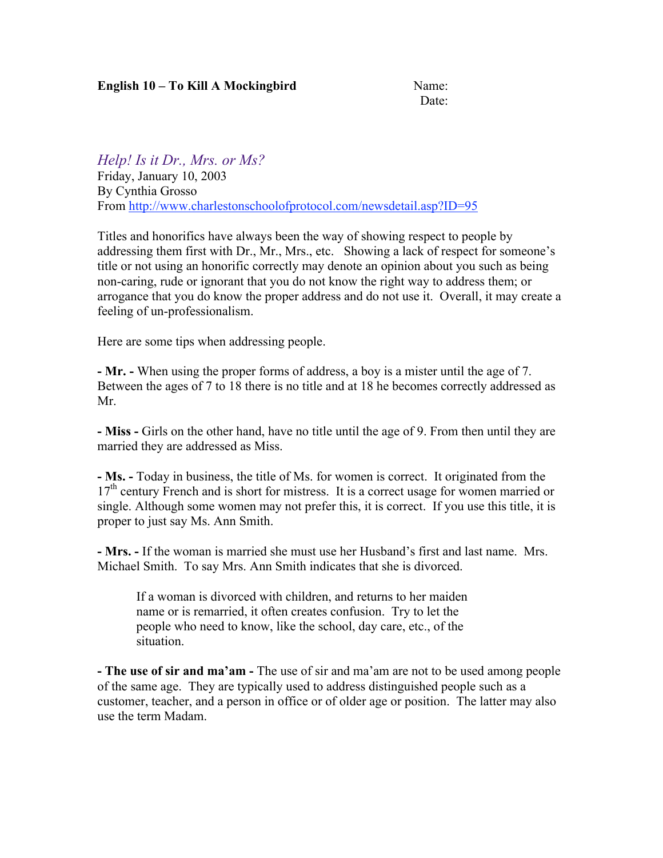#### **English 10 – To Kill A Mockingbird** Name:

Date:

*Help! Is it Dr., Mrs. or Ms?* Friday, January 10, 2003 By Cynthia Grosso From http://www.charlestonschoolofprotocol.com/newsdetail.asp?ID=95

Titles and honorifics have always been the way of showing respect to people by addressing them first with Dr., Mr., Mrs., etc. Showing a lack of respect for someone's title or not using an honorific correctly may denote an opinion about you such as being non-caring, rude or ignorant that you do not know the right way to address them; or arrogance that you do know the proper address and do not use it. Overall, it may create a feeling of un-professionalism.

Here are some tips when addressing people.

**- Mr. -** When using the proper forms of address, a boy is a mister until the age of 7. Between the ages of 7 to 18 there is no title and at 18 he becomes correctly addressed as Mr.

**- Miss -** Girls on the other hand, have no title until the age of 9. From then until they are married they are addressed as Miss.

**- Ms. -** Today in business, the title of Ms. for women is correct. It originated from the 17<sup>th</sup> century French and is short for mistress. It is a correct usage for women married or single. Although some women may not prefer this, it is correct. If you use this title, it is proper to just say Ms. Ann Smith.

**- Mrs. -** If the woman is married she must use her Husband's first and last name. Mrs. Michael Smith. To say Mrs. Ann Smith indicates that she is divorced.

If a woman is divorced with children, and returns to her maiden name or is remarried, it often creates confusion. Try to let the people who need to know, like the school, day care, etc., of the situation.

**- The use of sir and ma'am -** The use of sir and ma'am are not to be used among people of the same age. They are typically used to address distinguished people such as a customer, teacher, and a person in office or of older age or position. The latter may also use the term Madam.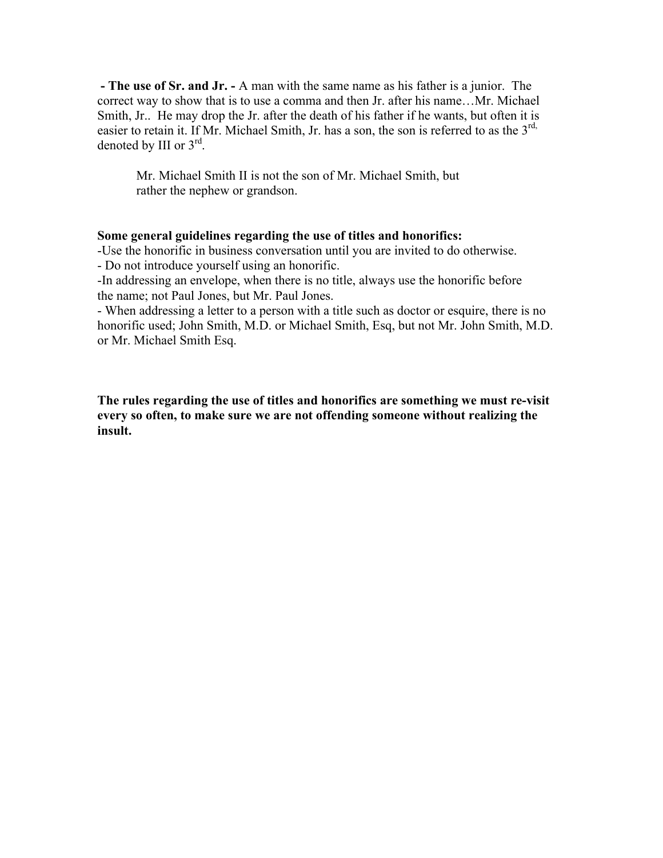**- The use of Sr. and Jr. -** A man with the same name as his father is a junior. The correct way to show that is to use a comma and then Jr. after his name…Mr. Michael Smith, Jr.. He may drop the Jr. after the death of his father if he wants, but often it is easier to retain it. If Mr. Michael Smith, Jr. has a son, the son is referred to as the  $3<sup>rd</sup>$ , denoted by III or  $3^{\text{rd}}$ .

Mr. Michael Smith II is not the son of Mr. Michael Smith, but rather the nephew or grandson.

#### **Some general guidelines regarding the use of titles and honorifics:**

-Use the honorific in business conversation until you are invited to do otherwise. - Do not introduce yourself using an honorific.

-In addressing an envelope, when there is no title, always use the honorific before the name; not Paul Jones, but Mr. Paul Jones.

- When addressing a letter to a person with a title such as doctor or esquire, there is no honorific used; John Smith, M.D. or Michael Smith, Esq, but not Mr. John Smith, M.D. or Mr. Michael Smith Esq.

**The rules regarding the use of titles and honorifics are something we must re-visit every so often, to make sure we are not offending someone without realizing the insult.**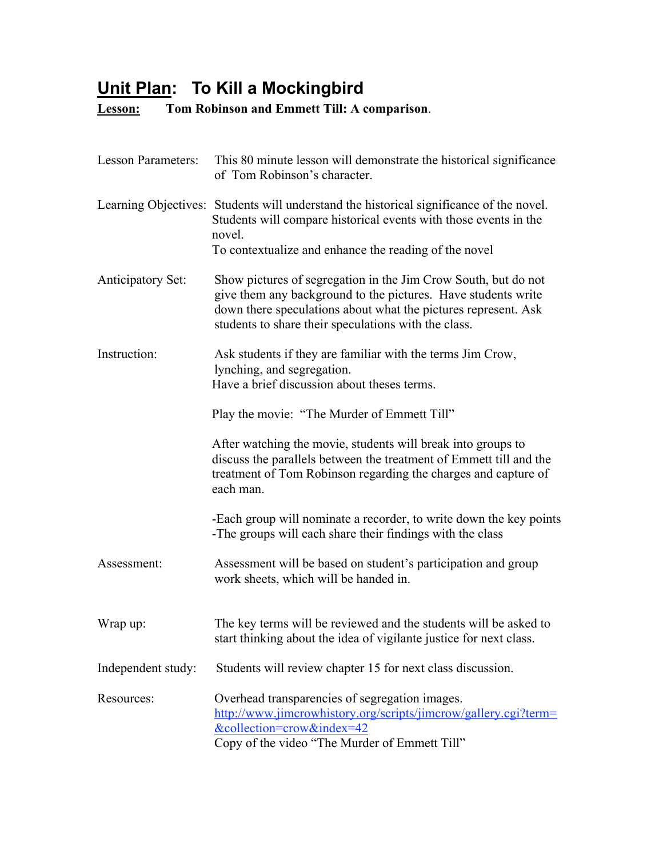# **Unit Plan: To Kill a Mockingbird**

**Lesson: Tom Robinson and Emmett Till: A comparison**.

| <b>Lesson Parameters:</b> | This 80 minute lesson will demonstrate the historical significance<br>of Tom Robinson's character.                                                                                                                                                        |
|---------------------------|-----------------------------------------------------------------------------------------------------------------------------------------------------------------------------------------------------------------------------------------------------------|
|                           | Learning Objectives: Students will understand the historical significance of the novel.<br>Students will compare historical events with those events in the<br>novel.<br>To contextualize and enhance the reading of the novel                            |
| <b>Anticipatory Set:</b>  | Show pictures of segregation in the Jim Crow South, but do not<br>give them any background to the pictures. Have students write<br>down there speculations about what the pictures represent. Ask<br>students to share their speculations with the class. |
| Instruction:              | Ask students if they are familiar with the terms Jim Crow,<br>lynching, and segregation.<br>Have a brief discussion about theses terms.                                                                                                                   |
|                           | Play the movie: "The Murder of Emmett Till"                                                                                                                                                                                                               |
|                           | After watching the movie, students will break into groups to<br>discuss the parallels between the treatment of Emmett till and the<br>treatment of Tom Robinson regarding the charges and capture of<br>each man.                                         |
|                           | -Each group will nominate a recorder, to write down the key points<br>-The groups will each share their findings with the class                                                                                                                           |
| Assessment:               | Assessment will be based on student's participation and group<br>work sheets, which will be handed in.                                                                                                                                                    |
| Wrap up:                  | The key terms will be reviewed and the students will be asked to<br>start thinking about the idea of vigilante justice for next class.                                                                                                                    |
| Independent study:        | Students will review chapter 15 for next class discussion.                                                                                                                                                                                                |
| Resources:                | Overhead transparencies of segregation images.<br>http://www.jimcrowhistory.org/scripts/jimcrow/gallery.cgi?term=<br>&collection=crow&index=42<br>Copy of the video "The Murder of Emmett Till"                                                           |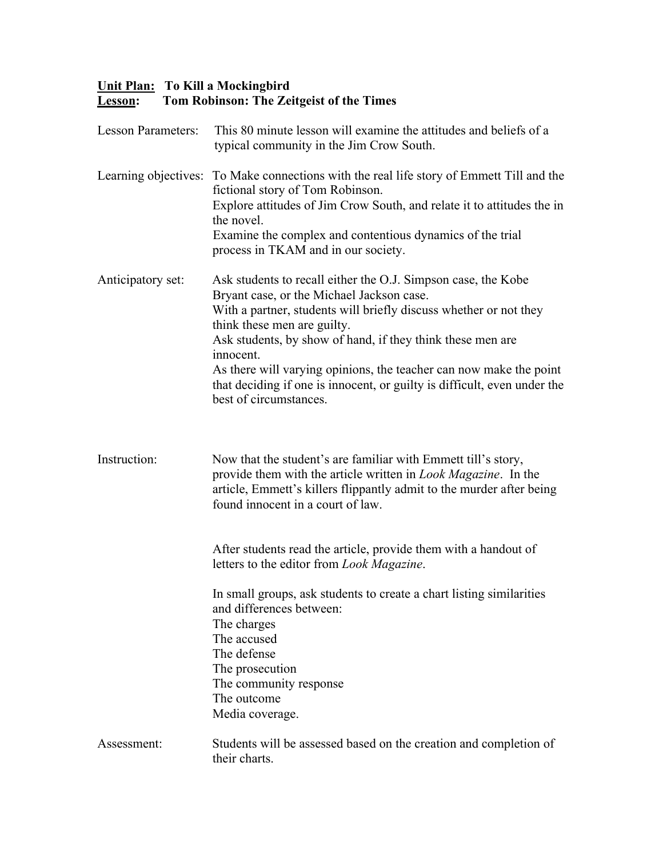#### **Unit Plan: To Kill a Mockingbird Lesson: Tom Robinson: The Zeitgeist of the Times**

| <b>Lesson Parameters:</b> | This 80 minute lesson will examine the attitudes and beliefs of a<br>typical community in the Jim Crow South.                                                                                                                                                                                                                                                                                                                                                         |
|---------------------------|-----------------------------------------------------------------------------------------------------------------------------------------------------------------------------------------------------------------------------------------------------------------------------------------------------------------------------------------------------------------------------------------------------------------------------------------------------------------------|
|                           | Learning objectives: To Make connections with the real life story of Emmett Till and the<br>fictional story of Tom Robinson.<br>Explore attitudes of Jim Crow South, and relate it to attitudes the in<br>the novel.<br>Examine the complex and contentious dynamics of the trial<br>process in TKAM and in our society.                                                                                                                                              |
| Anticipatory set:         | Ask students to recall either the O.J. Simpson case, the Kobe<br>Bryant case, or the Michael Jackson case.<br>With a partner, students will briefly discuss whether or not they<br>think these men are guilty.<br>Ask students, by show of hand, if they think these men are<br>innocent.<br>As there will varying opinions, the teacher can now make the point<br>that deciding if one is innocent, or guilty is difficult, even under the<br>best of circumstances. |
| Instruction:              | Now that the student's are familiar with Emmett till's story,<br>provide them with the article written in <i>Look Magazine</i> . In the<br>article, Emmett's killers flippantly admit to the murder after being<br>found innocent in a court of law.                                                                                                                                                                                                                  |
|                           | After students read the article, provide them with a handout of<br>letters to the editor from <i>Look Magazine</i> .                                                                                                                                                                                                                                                                                                                                                  |
|                           | In small groups, ask students to create a chart listing similarities<br>and differences between:<br>The charges<br>The accused<br>The defense<br>The prosecution<br>The community response<br>The outcome<br>Media coverage.                                                                                                                                                                                                                                          |
| Assessment:               | Students will be assessed based on the creation and completion of<br>their charts.                                                                                                                                                                                                                                                                                                                                                                                    |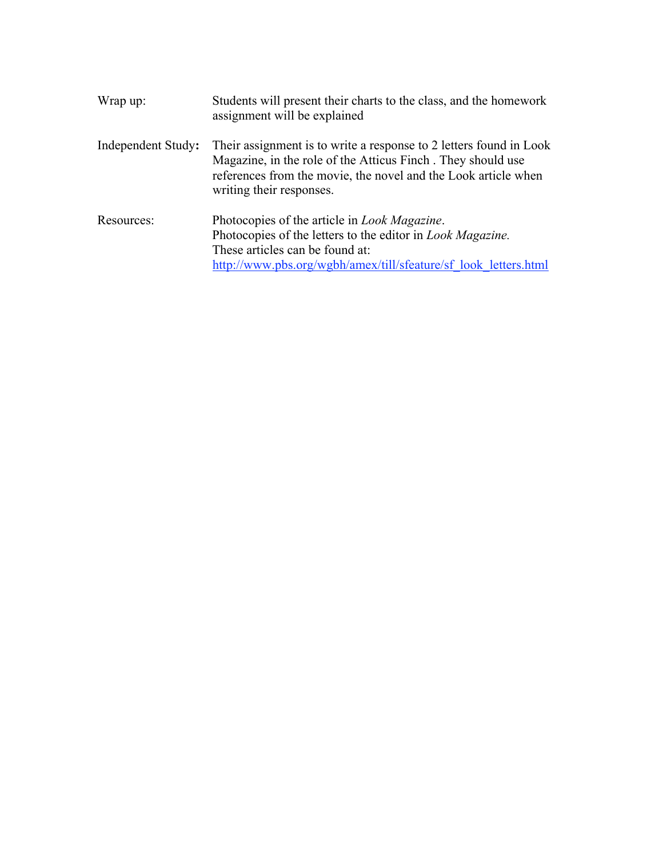| Wrap up:           | Students will present their charts to the class, and the homework<br>assignment will be explained                                                                                                                                |
|--------------------|----------------------------------------------------------------------------------------------------------------------------------------------------------------------------------------------------------------------------------|
| Independent Study: | Their assignment is to write a response to 2 letters found in Look<br>Magazine, in the role of the Atticus Finch. They should use<br>references from the movie, the novel and the Look article when<br>writing their responses.  |
| Resources:         | Photocopies of the article in <i>Look Magazine</i> .<br>Photocopies of the letters to the editor in <i>Look Magazine</i> .<br>These articles can be found at:<br>http://www.pbs.org/wgbh/amex/till/sfeature/sf look letters.html |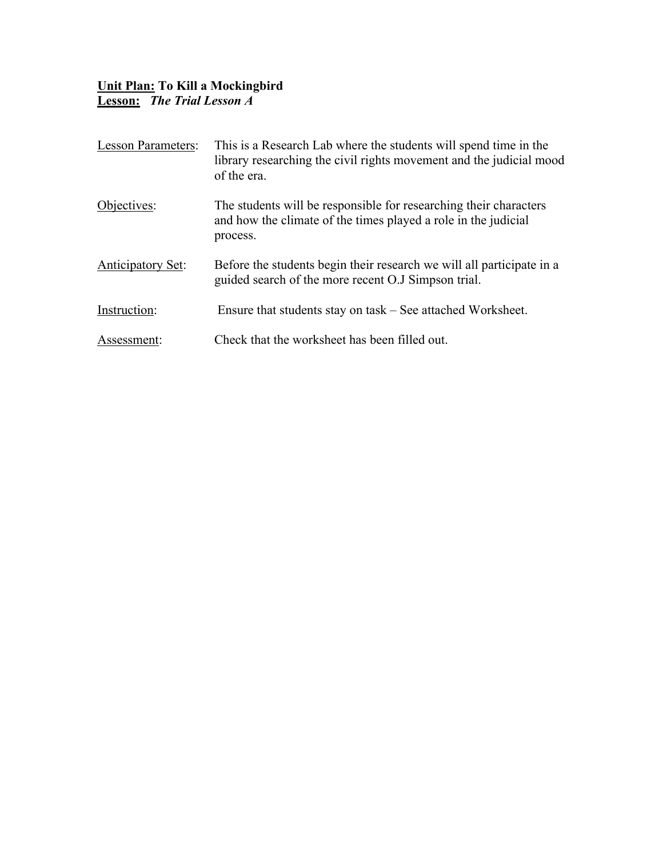#### **Unit Plan: To Kill a Mockingbird Lesson:** *The Trial Lesson A*

| <b>Lesson Parameters:</b> | This is a Research Lab where the students will spend time in the<br>library researching the civil rights movement and the judicial mood<br>of the era. |
|---------------------------|--------------------------------------------------------------------------------------------------------------------------------------------------------|
| Objectives:               | The students will be responsible for researching their characters<br>and how the climate of the times played a role in the judicial<br>process.        |
| <b>Anticipatory Set:</b>  | Before the students begin their research we will all participate in a<br>guided search of the more recent O.J Simpson trial.                           |
| Instruction:              | Ensure that students stay on task – See attached Worksheet.                                                                                            |
| Assessment:               | Check that the worksheet has been filled out.                                                                                                          |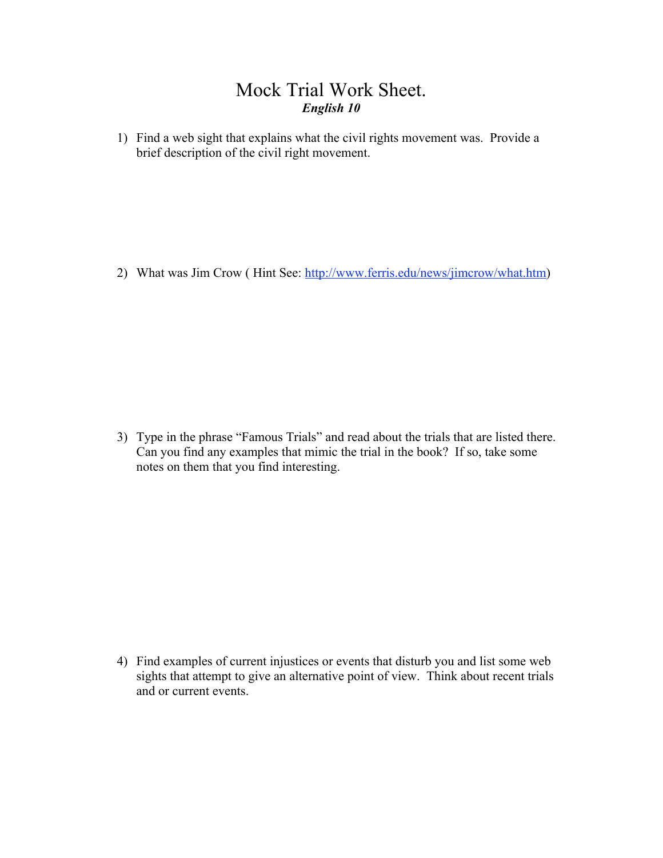### Mock Trial Work Sheet. *English 10*

1) Find a web sight that explains what the civil rights movement was. Provide a brief description of the civil right movement.

2) What was Jim Crow (Hint See: http://www.ferris.edu/news/jimcrow/what.htm)

3) Type in the phrase "Famous Trials" and read about the trials that are listed there. Can you find any examples that mimic the trial in the book? If so, take some notes on them that you find interesting.

4) Find examples of current injustices or events that disturb you and list some web sights that attempt to give an alternative point of view. Think about recent trials and or current events.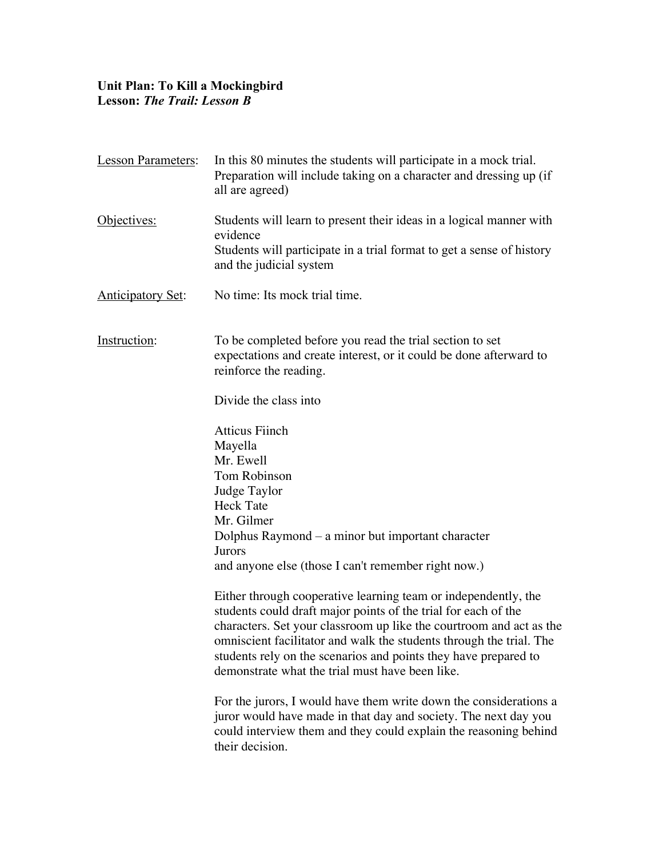#### **Unit Plan: To Kill a Mockingbird Lesson:** *The Trail: Lesson B*

| <b>Lesson Parameters:</b> | In this 80 minutes the students will participate in a mock trial.<br>Preparation will include taking on a character and dressing up (if<br>all are agreed)                                                                                                                                                                                                                                           |
|---------------------------|------------------------------------------------------------------------------------------------------------------------------------------------------------------------------------------------------------------------------------------------------------------------------------------------------------------------------------------------------------------------------------------------------|
| Objectives:               | Students will learn to present their ideas in a logical manner with<br>evidence<br>Students will participate in a trial format to get a sense of history<br>and the judicial system                                                                                                                                                                                                                  |
| <b>Anticipatory Set:</b>  | No time: Its mock trial time.                                                                                                                                                                                                                                                                                                                                                                        |
| Instruction:              | To be completed before you read the trial section to set<br>expectations and create interest, or it could be done afterward to<br>reinforce the reading.                                                                                                                                                                                                                                             |
|                           | Divide the class into                                                                                                                                                                                                                                                                                                                                                                                |
|                           | <b>Atticus Fiinch</b><br>Mayella<br>Mr. Ewell<br>Tom Robinson<br>Judge Taylor<br><b>Heck Tate</b><br>Mr. Gilmer<br>Dolphus Raymond – a minor but important character<br><b>Jurors</b><br>and anyone else (those I can't remember right now.)                                                                                                                                                         |
|                           | Either through cooperative learning team or independently, the<br>students could draft major points of the trial for each of the<br>characters. Set your classroom up like the courtroom and act as the<br>omniscient facilitator and walk the students through the trial. The<br>students rely on the scenarios and points they have prepared to<br>demonstrate what the trial must have been like. |
|                           | For the jurors, I would have them write down the considerations a<br>juror would have made in that day and society. The next day you<br>could interview them and they could explain the reasoning behind<br>their decision.                                                                                                                                                                          |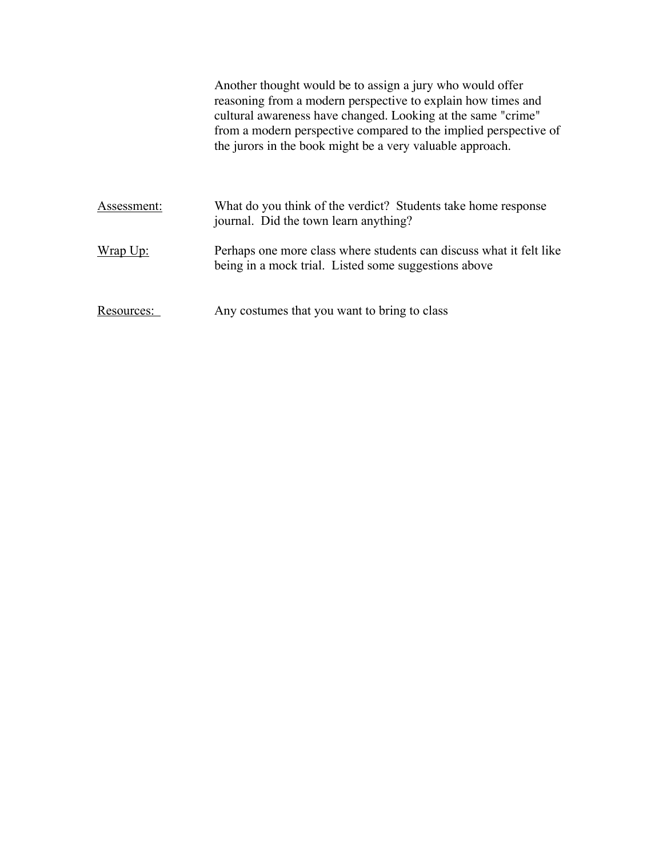|             | Another thought would be to assign a jury who would offer<br>reasoning from a modern perspective to explain how times and<br>cultural awareness have changed. Looking at the same "crime"<br>from a modern perspective compared to the implied perspective of<br>the jurors in the book might be a very valuable approach. |
|-------------|----------------------------------------------------------------------------------------------------------------------------------------------------------------------------------------------------------------------------------------------------------------------------------------------------------------------------|
| Assessment: | What do you think of the verdict? Students take home response<br>journal. Did the town learn anything?                                                                                                                                                                                                                     |
| Wrap $Up:$  | Perhaps one more class where students can discuss what it felt like<br>being in a mock trial. Listed some suggestions above                                                                                                                                                                                                |
| Resources:  | Any costumes that you want to bring to class                                                                                                                                                                                                                                                                               |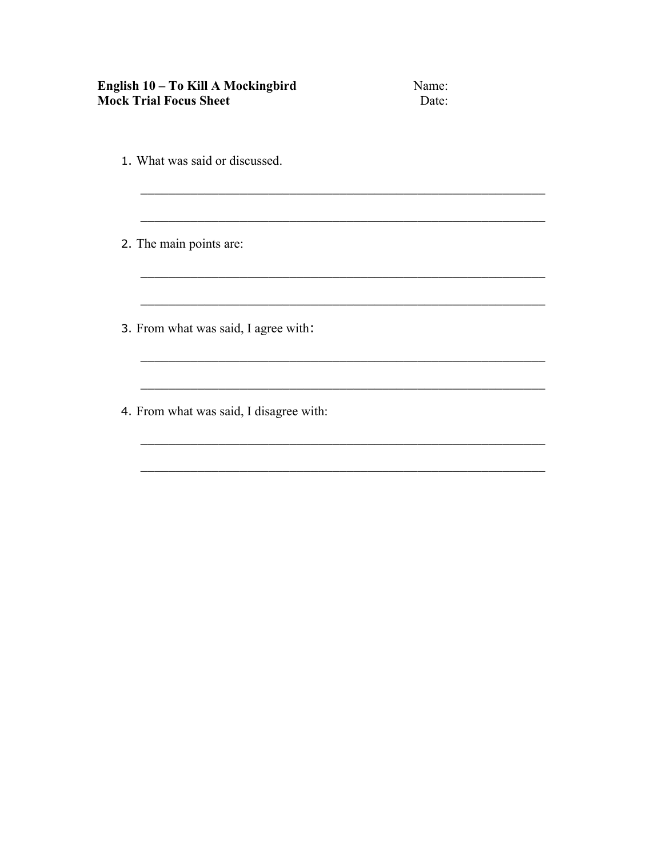Name: Date:

<u> 1989 - Johann Harry Harry Harry Harry Harry Harry Harry Harry Harry Harry Harry Harry Harry Harry Harry Harry</u>

<u> 2000 - Jan James James James James James James James James James James James James James James James James J</u>

1. What was said or discussed.

2. The main points are:

3. From what was said, I agree with:

4. From what was said, I disagree with: